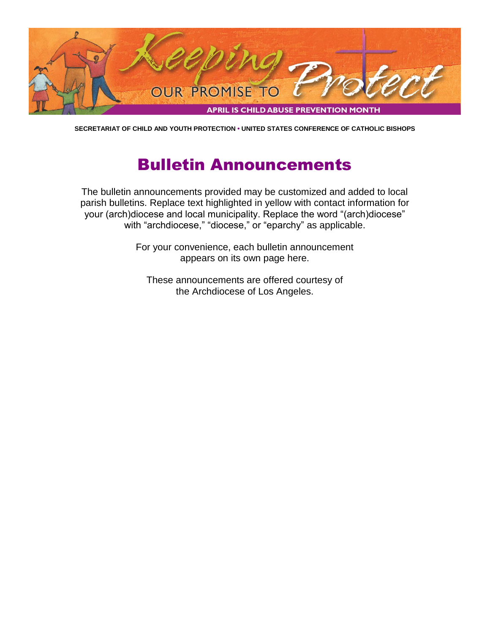

**SECRETARIAT OF CHILD AND YOUTH PROTECTION • UNITED STATES CONFERENCE OF CATHOLIC BISHOPS**

# Bulletin Announcements

The bulletin announcements provided may be customized and added to local parish bulletins. Replace text highlighted in yellow with contact information for your (arch)diocese and local municipality. Replace the word "(arch)diocese" with "archdiocese," "diocese," or "eparchy" as applicable.

> For your convenience, each bulletin announcement appears on its own page here.

These announcements are offered courtesy of the Archdiocese of Los Angeles.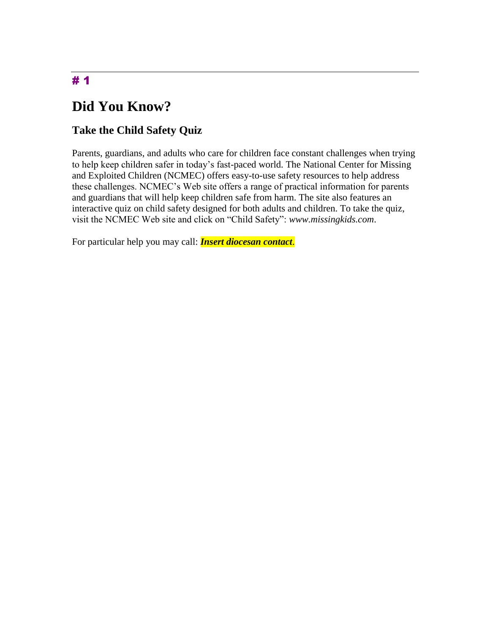# **Did You Know?**

### **Take the Child Safety Quiz**

Parents, guardians, and adults who care for children face constant challenges when trying to help keep children safer in today's fast-paced world. The National Center for Missing and Exploited Children (NCMEC) offers easy-to-use safety resources to help address these challenges. NCMEC's Web site offers a range of practical information for parents and guardians that will help keep children safe from harm. The site also features an interactive quiz on child safety designed for both adults and children. To take the quiz, visit the NCMEC Web site and click on "Child Safety": *www.missingkids.com*.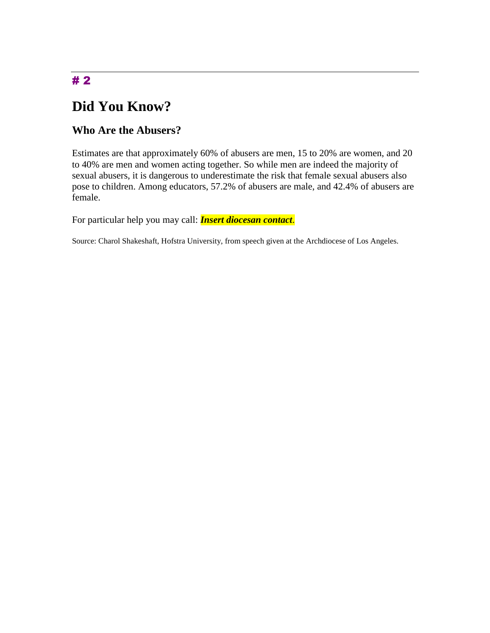## **Did You Know?**

#### **Who Are the Abusers?**

Estimates are that approximately 60% of abusers are men, 15 to 20% are women, and 20 to 40% are men and women acting together. So while men are indeed the majority of sexual abusers, it is dangerous to underestimate the risk that female sexual abusers also pose to children. Among educators, 57.2% of abusers are male, and 42.4% of abusers are female.

For particular help you may call: *Insert diocesan contact*.

Source: Charol Shakeshaft, Hofstra University, from speech given at the Archdiocese of Los Angeles.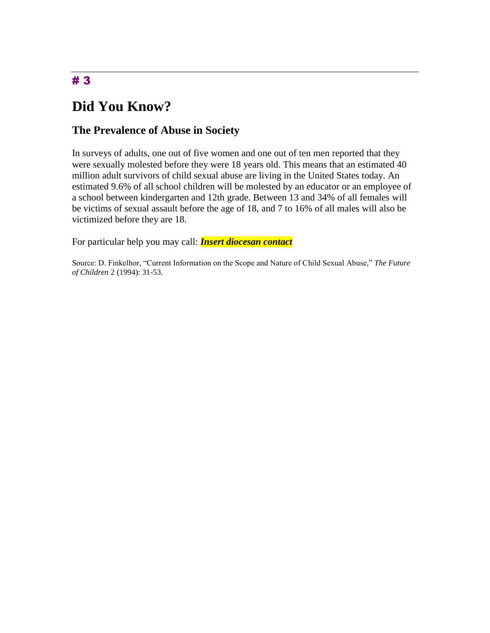## **Did You Know?**

#### **The Prevalence of Abuse in Society**

In surveys of adults, one out of five women and one out of ten men reported that they were sexually molested before they were 18 years old. This means that an estimated 40 million adult survivors of child sexual abuse are living in the United States today. An estimated 9.6% of all school children will be molested by an educator or an employee of a school between kindergarten and 12th grade. Between 13 and 34% of all females will be victims of sexual assault before the age of 18, and 7 to 16% of all males will also be victimized before they are 18.

For particular help you may call: *Insert diocesan contact*

Source: D. Finkelhor, "Current Information on the Scope and Nature of Child Sexual Abuse," *The Future of Children* 2 (1994): 31-53.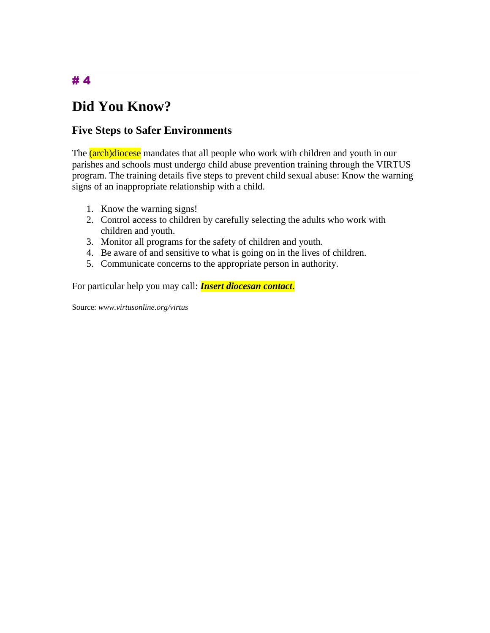# **Did You Know?**

#### **Five Steps to Safer Environments**

The (arch)diocese mandates that all people who work with children and youth in our parishes and schools must undergo child abuse prevention training through the VIRTUS program. The training details five steps to prevent child sexual abuse: Know the warning signs of an inappropriate relationship with a child.

- 1. Know the warning signs!
- 2. Control access to children by carefully selecting the adults who work with children and youth.
- 3. Monitor all programs for the safety of children and youth.
- 4. Be aware of and sensitive to what is going on in the lives of children.
- 5. Communicate concerns to the appropriate person in authority.

For particular help you may call: *Insert diocesan contact*.

Source: *www.virtusonline.org/virtus*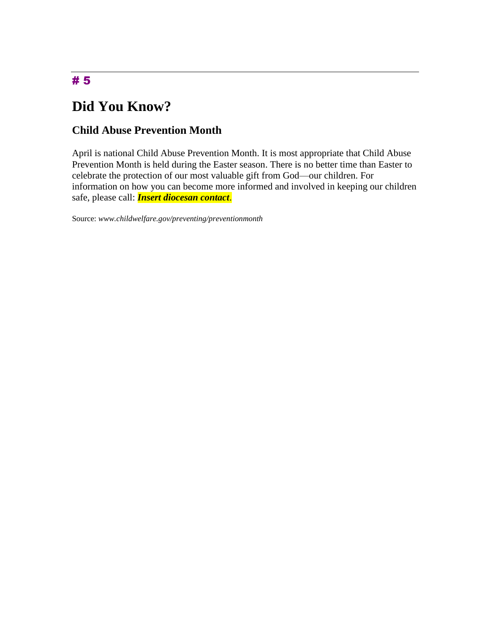# **Did You Know?**

#### **Child Abuse Prevention Month**

April is national Child Abuse Prevention Month. It is most appropriate that Child Abuse Prevention Month is held during the Easter season. There is no better time than Easter to celebrate the protection of our most valuable gift from God—our children. For information on how you can become more informed and involved in keeping our children safe, please call: *Insert diocesan contact*.

Source: *www.childwelfare.gov/preventing/preventionmonth*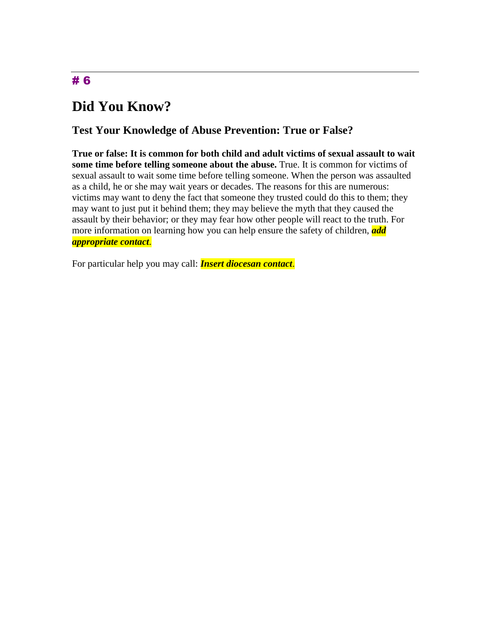## **Did You Know?**

#### **Test Your Knowledge of Abuse Prevention: True or False?**

**True or false: It is common for both child and adult victims of sexual assault to wait some time before telling someone about the abuse.** True. It is common for victims of sexual assault to wait some time before telling someone. When the person was assaulted as a child, he or she may wait years or decades. The reasons for this are numerous: victims may want to deny the fact that someone they trusted could do this to them; they may want to just put it behind them; they may believe the myth that they caused the assault by their behavior; or they may fear how other people will react to the truth. For more information on learning how you can help ensure the safety of children, *add appropriate contact*.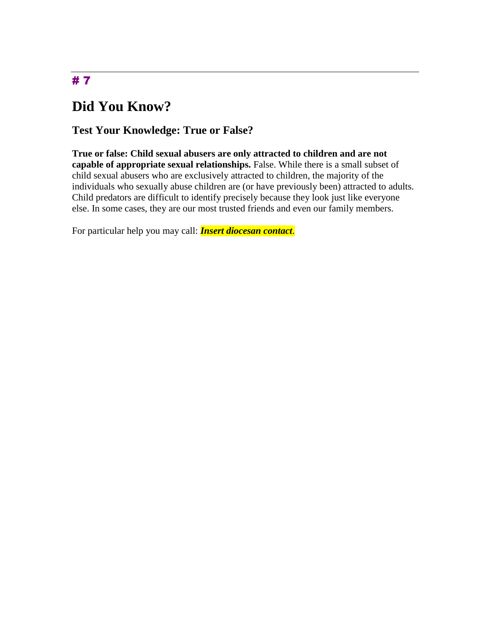# **Did You Know?**

#### **Test Your Knowledge: True or False?**

**True or false: Child sexual abusers are only attracted to children and are not capable of appropriate sexual relationships.** False. While there is a small subset of child sexual abusers who are exclusively attracted to children, the majority of the individuals who sexually abuse children are (or have previously been) attracted to adults. Child predators are difficult to identify precisely because they look just like everyone else. In some cases, they are our most trusted friends and even our family members.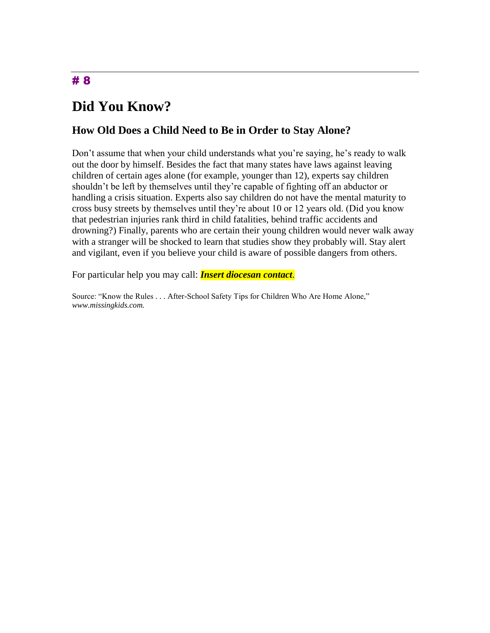## **Did You Know?**

#### **How Old Does a Child Need to Be in Order to Stay Alone?**

Don't assume that when your child understands what you're saying, he's ready to walk out the door by himself. Besides the fact that many states have laws against leaving children of certain ages alone (for example, younger than 12), experts say children shouldn't be left by themselves until they're capable of fighting off an abductor or handling a crisis situation. Experts also say children do not have the mental maturity to cross busy streets by themselves until they're about 10 or 12 years old. (Did you know that pedestrian injuries rank third in child fatalities, behind traffic accidents and drowning?) Finally, parents who are certain their young children would never walk away with a stranger will be shocked to learn that studies show they probably will. Stay alert and vigilant, even if you believe your child is aware of possible dangers from others.

For particular help you may call: *Insert diocesan contact*.

Source: "Know the Rules . . . After-School Safety Tips for Children Who Are Home Alone," *www.missingkids.com.*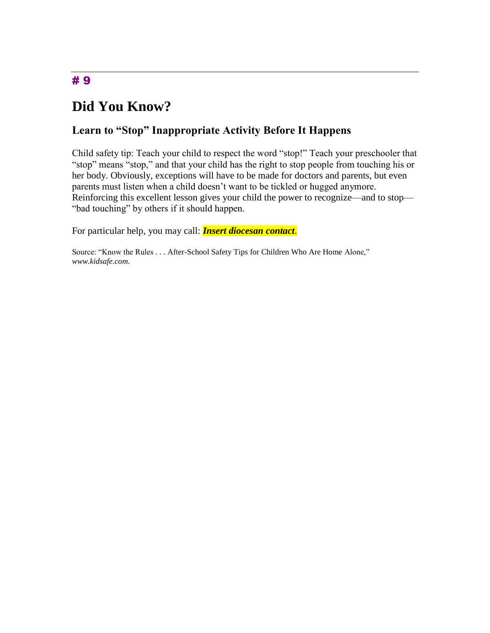## **Did You Know?**

#### **Learn to "Stop" Inappropriate Activity Before It Happens**

Child safety tip: Teach your child to respect the word "stop!" Teach your preschooler that "stop" means "stop," and that your child has the right to stop people from touching his or her body. Obviously, exceptions will have to be made for doctors and parents, but even parents must listen when a child doesn't want to be tickled or hugged anymore. Reinforcing this excellent lesson gives your child the power to recognize—and to stop— "bad touching" by others if it should happen.

For particular help, you may call: *Insert diocesan contact*.

Source: "Know the Rules . . . After-School Safety Tips for Children Who Are Home Alone," *www.kidsafe.com*.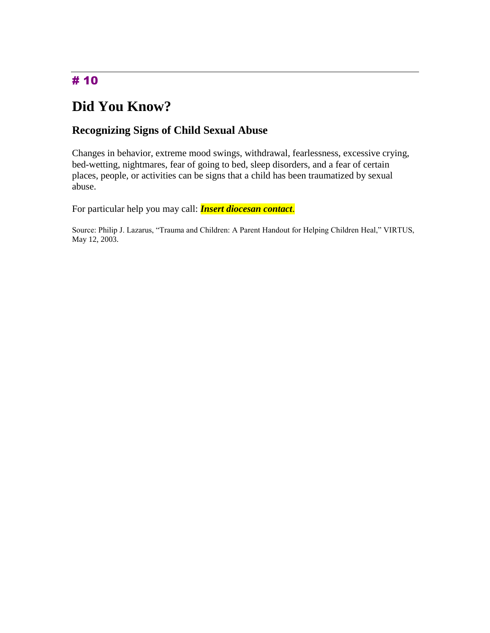# **Did You Know?**

## **Recognizing Signs of Child Sexual Abuse**

Changes in behavior, extreme mood swings, withdrawal, fearlessness, excessive crying, bed-wetting, nightmares, fear of going to bed, sleep disorders, and a fear of certain places, people, or activities can be signs that a child has been traumatized by sexual abuse.

For particular help you may call: *Insert diocesan contact*.

Source: Philip J. Lazarus, "Trauma and Children: A Parent Handout for Helping Children Heal," VIRTUS, May 12, 2003.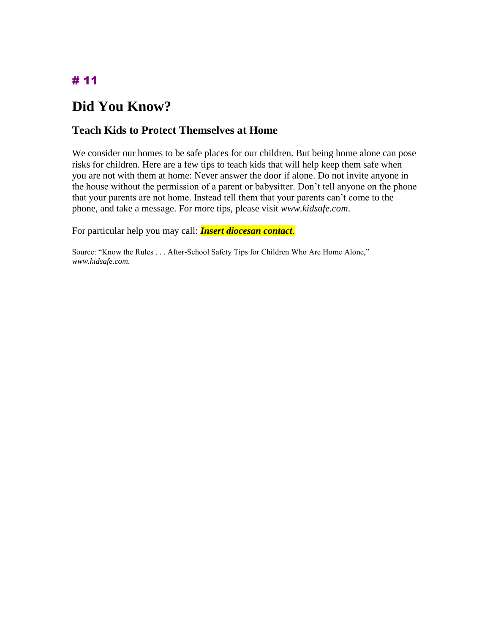## **Did You Know?**

#### **Teach Kids to Protect Themselves at Home**

We consider our homes to be safe places for our children. But being home alone can pose risks for children. Here are a few tips to teach kids that will help keep them safe when you are not with them at home: Never answer the door if alone. Do not invite anyone in the house without the permission of a parent or babysitter. Don't tell anyone on the phone that your parents are not home. Instead tell them that your parents can't come to the phone, and take a message. For more tips, please visit *www.kidsafe.com*.

For particular help you may call: *Insert diocesan contact*.

Source: "Know the Rules . . . After-School Safety Tips for Children Who Are Home Alone," *www.kidsafe.com*.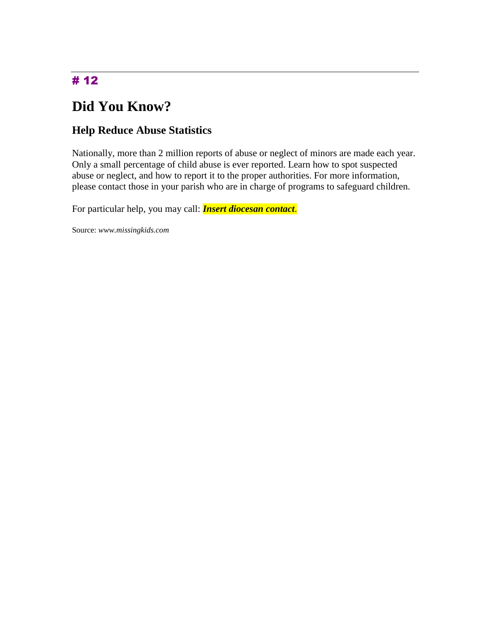# **Did You Know?**

### **Help Reduce Abuse Statistics**

Nationally, more than 2 million reports of abuse or neglect of minors are made each year. Only a small percentage of child abuse is ever reported. Learn how to spot suspected abuse or neglect, and how to report it to the proper authorities. For more information, please contact those in your parish who are in charge of programs to safeguard children.

For particular help, you may call: *Insert diocesan contact*.

Source: *www.missingkids.com*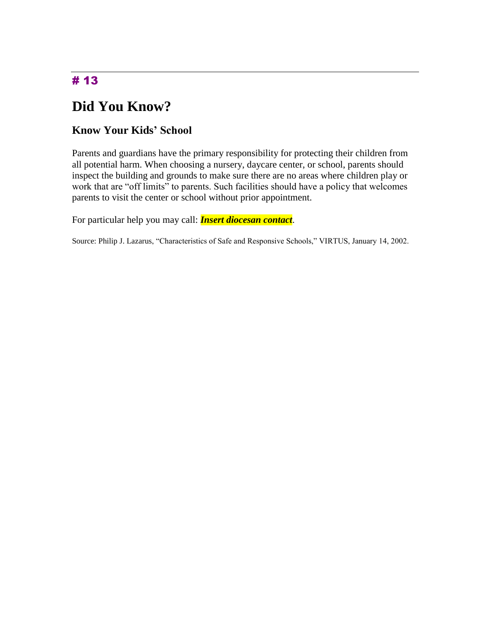## **Did You Know?**

#### **Know Your Kids' School**

Parents and guardians have the primary responsibility for protecting their children from all potential harm. When choosing a nursery, daycare center, or school, parents should inspect the building and grounds to make sure there are no areas where children play or work that are "off limits" to parents. Such facilities should have a policy that welcomes parents to visit the center or school without prior appointment.

For particular help you may call: *Insert diocesan contact*.

Source: Philip J. Lazarus, "Characteristics of Safe and Responsive Schools," VIRTUS, January 14, 2002.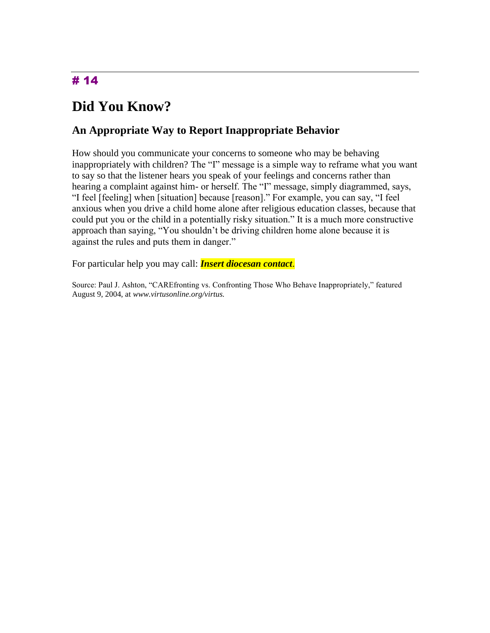# **Did You Know?**

#### **An Appropriate Way to Report Inappropriate Behavior**

How should you communicate your concerns to someone who may be behaving inappropriately with children? The "I" message is a simple way to reframe what you want to say so that the listener hears you speak of your feelings and concerns rather than hearing a complaint against him- or herself. The "I" message, simply diagrammed, says, "I feel [feeling] when [situation] because [reason]." For example, you can say, "I feel anxious when you drive a child home alone after religious education classes, because that could put you or the child in a potentially risky situation." It is a much more constructive approach than saying, "You shouldn't be driving children home alone because it is against the rules and puts them in danger."

For particular help you may call: *Insert diocesan contact*.

Source: Paul J. Ashton, "CAREfronting vs. Confronting Those Who Behave Inappropriately," featured August 9, 2004, at *www.virtusonline.org/virtus.*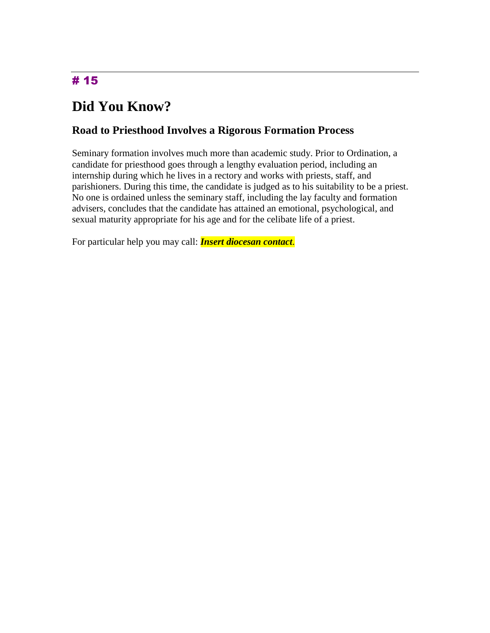# **Did You Know?**

#### **Road to Priesthood Involves a Rigorous Formation Process**

Seminary formation involves much more than academic study. Prior to Ordination, a candidate for priesthood goes through a lengthy evaluation period, including an internship during which he lives in a rectory and works with priests, staff, and parishioners. During this time, the candidate is judged as to his suitability to be a priest. No one is ordained unless the seminary staff, including the lay faculty and formation advisers, concludes that the candidate has attained an emotional, psychological, and sexual maturity appropriate for his age and for the celibate life of a priest.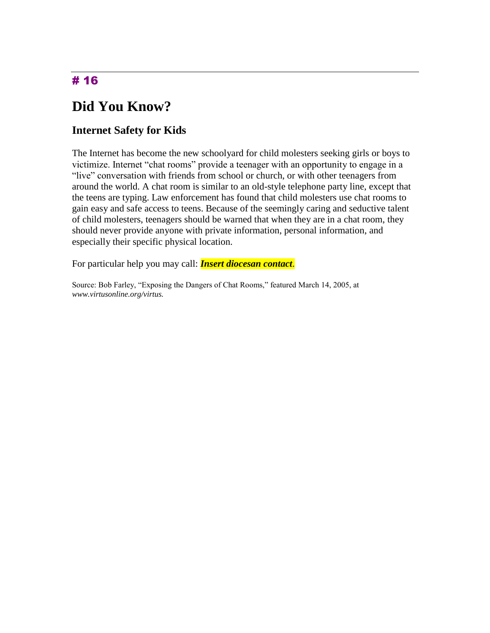# **Did You Know?**

### **Internet Safety for Kids**

The Internet has become the new schoolyard for child molesters seeking girls or boys to victimize. Internet "chat rooms" provide a teenager with an opportunity to engage in a "live" conversation with friends from school or church, or with other teenagers from around the world. A chat room is similar to an old-style telephone party line, except that the teens are typing. Law enforcement has found that child molesters use chat rooms to gain easy and safe access to teens. Because of the seemingly caring and seductive talent of child molesters, teenagers should be warned that when they are in a chat room, they should never provide anyone with private information, personal information, and especially their specific physical location.

For particular help you may call: *Insert diocesan contact*.

Source: Bob Farley, "Exposing the Dangers of Chat Rooms," featured March 14, 2005, at *www.virtusonline.org/virtus.*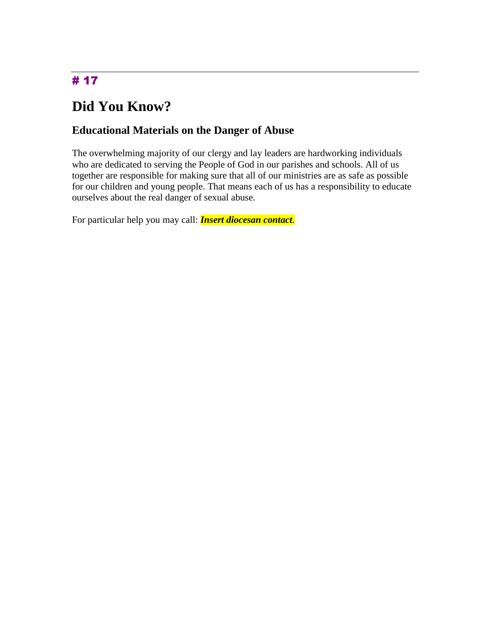# **Did You Know?**

### **Educational Materials on the Danger of Abuse**

The overwhelming majority of our clergy and lay leaders are hardworking individuals who are dedicated to serving the People of God in our parishes and schools. All of us together are responsible for making sure that all of our ministries are as safe as possible for our children and young people. That means each of us has a responsibility to educate ourselves about the real danger of sexual abuse.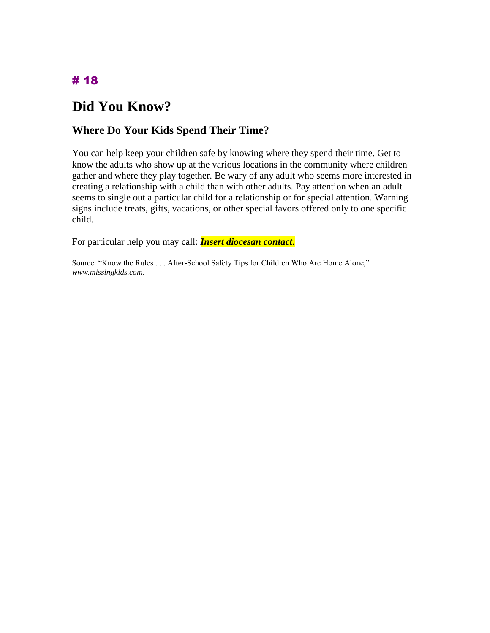## **Did You Know?**

#### **Where Do Your Kids Spend Their Time?**

You can help keep your children safe by knowing where they spend their time. Get to know the adults who show up at the various locations in the community where children gather and where they play together. Be wary of any adult who seems more interested in creating a relationship with a child than with other adults. Pay attention when an adult seems to single out a particular child for a relationship or for special attention. Warning signs include treats, gifts, vacations, or other special favors offered only to one specific child.

For particular help you may call: *Insert diocesan contact*.

Source: "Know the Rules . . . After-School Safety Tips for Children Who Are Home Alone," *www.missingkids.com*.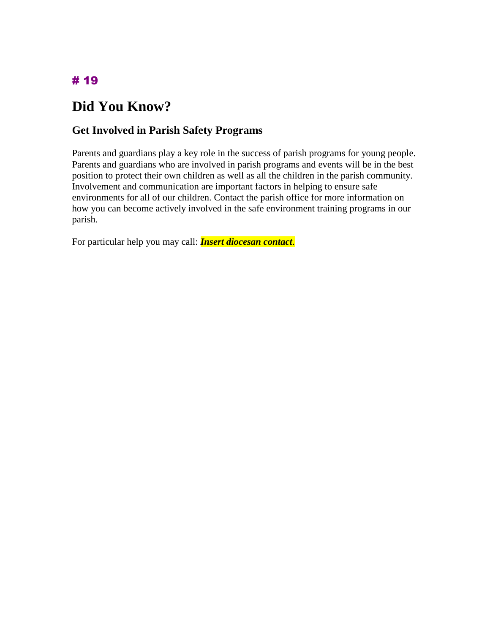# **Did You Know?**

#### **Get Involved in Parish Safety Programs**

Parents and guardians play a key role in the success of parish programs for young people. Parents and guardians who are involved in parish programs and events will be in the best position to protect their own children as well as all the children in the parish community. Involvement and communication are important factors in helping to ensure safe environments for all of our children. Contact the parish office for more information on how you can become actively involved in the safe environment training programs in our parish.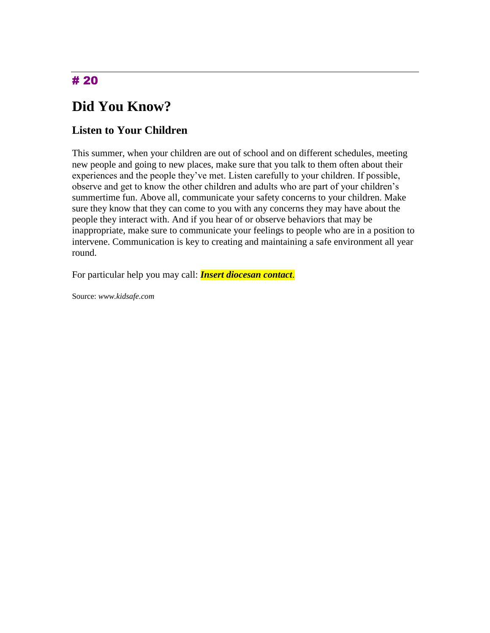# **Did You Know?**

### **Listen to Your Children**

This summer, when your children are out of school and on different schedules, meeting new people and going to new places, make sure that you talk to them often about their experiences and the people they've met. Listen carefully to your children. If possible, observe and get to know the other children and adults who are part of your children's summertime fun. Above all, communicate your safety concerns to your children. Make sure they know that they can come to you with any concerns they may have about the people they interact with. And if you hear of or observe behaviors that may be inappropriate, make sure to communicate your feelings to people who are in a position to intervene. Communication is key to creating and maintaining a safe environment all year round.

For particular help you may call: *Insert diocesan contact*.

Source: *www.kidsafe.com*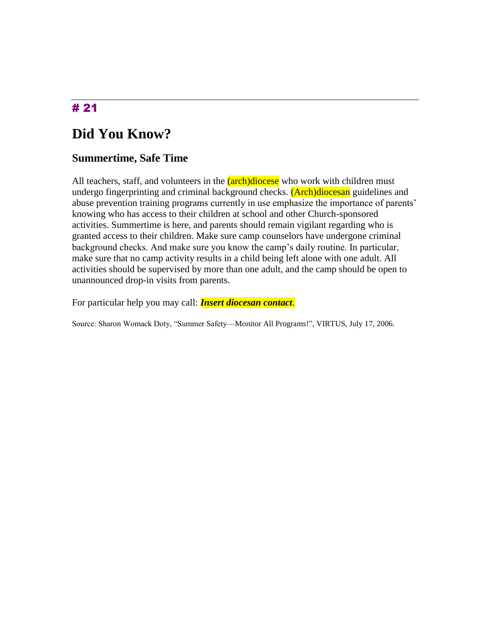## **Did You Know?**

#### **Summertime, Safe Time**

All teachers, staff, and volunteers in the *(arch)diocese* who work with children must undergo fingerprinting and criminal background checks. (Arch)diocesan guidelines and abuse prevention training programs currently in use emphasize the importance of parents' knowing who has access to their children at school and other Church-sponsored activities. Summertime is here, and parents should remain vigilant regarding who is granted access to their children. Make sure camp counselors have undergone criminal background checks. And make sure you know the camp's daily routine. In particular, make sure that no camp activity results in a child being left alone with one adult. All activities should be supervised by more than one adult, and the camp should be open to unannounced drop-in visits from parents.

For particular help you may call: *Insert diocesan contact*.

Source: Sharon Womack Doty, "Summer Safety—Monitor All Programs!", VIRTUS, July 17, 2006.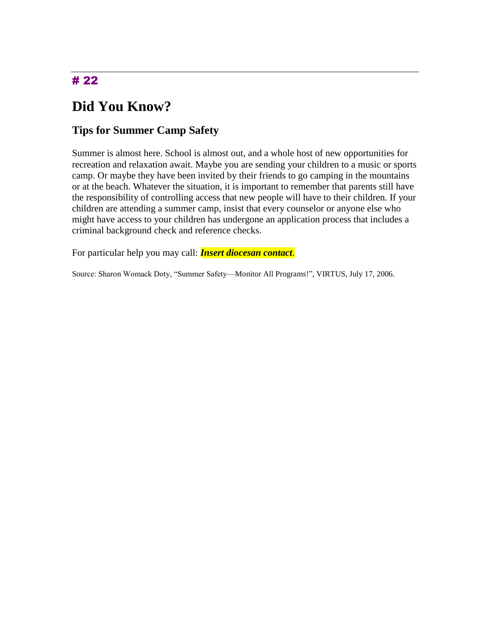# **Did You Know?**

#### **Tips for Summer Camp Safety**

Summer is almost here. School is almost out, and a whole host of new opportunities for recreation and relaxation await. Maybe you are sending your children to a music or sports camp. Or maybe they have been invited by their friends to go camping in the mountains or at the beach. Whatever the situation, it is important to remember that parents still have the responsibility of controlling access that new people will have to their children. If your children are attending a summer camp, insist that every counselor or anyone else who might have access to your children has undergone an application process that includes a criminal background check and reference checks.

For particular help you may call: *Insert diocesan contact*.

Source: Sharon Womack Doty, "Summer Safety—Monitor All Programs!", VIRTUS, July 17, 2006.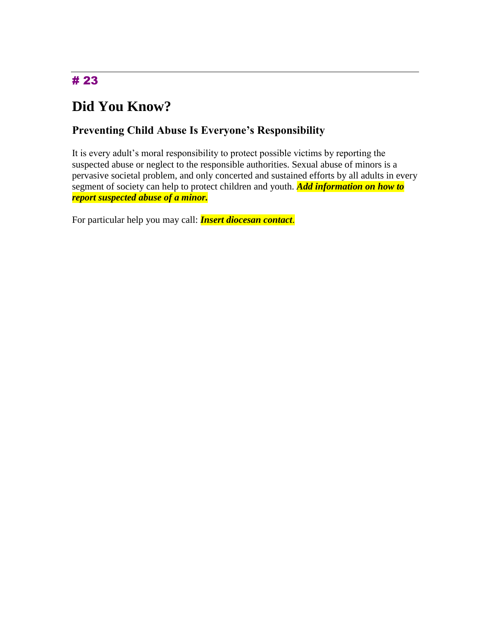# **Did You Know?**

### **Preventing Child Abuse Is Everyone's Responsibility**

It is every adult's moral responsibility to protect possible victims by reporting the suspected abuse or neglect to the responsible authorities. Sexual abuse of minors is a pervasive societal problem, and only concerted and sustained efforts by all adults in every segment of society can help to protect children and youth. *Add information on how to report suspected abuse of a minor.*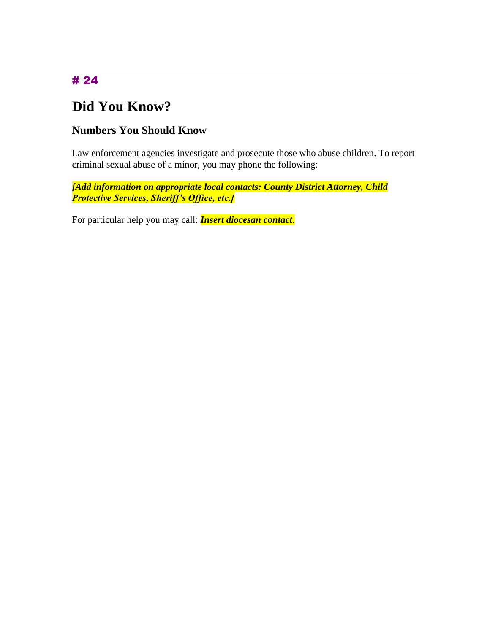# **Did You Know?**

### **Numbers You Should Know**

Law enforcement agencies investigate and prosecute those who abuse children. To report criminal sexual abuse of a minor, you may phone the following:

*[Add information on appropriate local contacts: County District Attorney, Child Protective Services, Sheriff's Office, etc.]*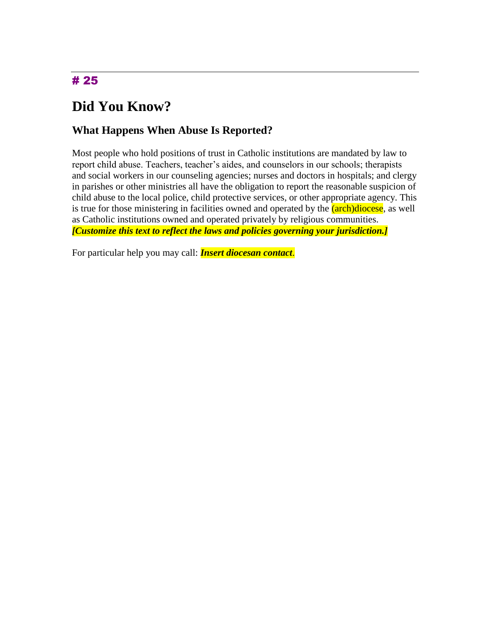## **Did You Know?**

#### **What Happens When Abuse Is Reported?**

Most people who hold positions of trust in Catholic institutions are mandated by law to report child abuse. Teachers, teacher's aides, and counselors in our schools; therapists and social workers in our counseling agencies; nurses and doctors in hospitals; and clergy in parishes or other ministries all have the obligation to report the reasonable suspicion of child abuse to the local police, child protective services, or other appropriate agency. This is true for those ministering in facilities owned and operated by the (arch)diocese, as well as Catholic institutions owned and operated privately by religious communities. *[Customize this text to reflect the laws and policies governing your jurisdiction.]*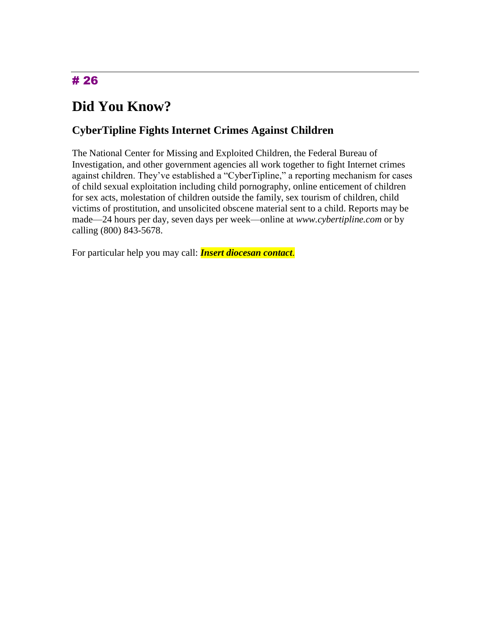# **Did You Know?**

### **CyberTipline Fights Internet Crimes Against Children**

The National Center for Missing and Exploited Children, the Federal Bureau of Investigation, and other government agencies all work together to fight Internet crimes against children. They've established a "CyberTipline," a reporting mechanism for cases of child sexual exploitation including child pornography, online enticement of children for sex acts, molestation of children outside the family, sex tourism of children, child victims of prostitution, and unsolicited obscene material sent to a child. Reports may be made—24 hours per day, seven days per week—online at *www.cybertipline.com* or by calling (800) 843-5678.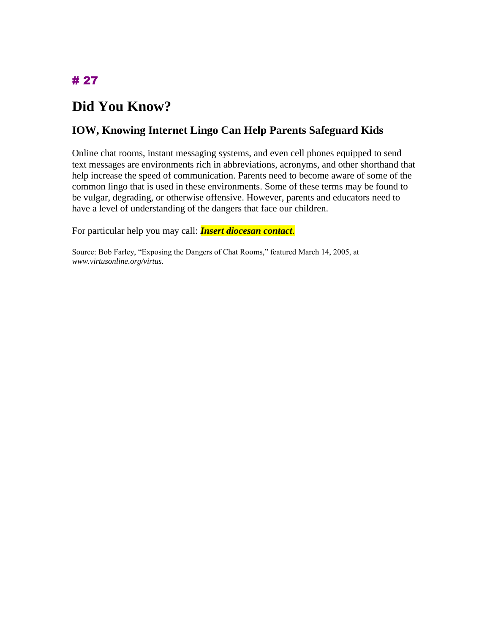# **Did You Know?**

### **IOW, Knowing Internet Lingo Can Help Parents Safeguard Kids**

Online chat rooms, instant messaging systems, and even cell phones equipped to send text messages are environments rich in abbreviations, acronyms, and other shorthand that help increase the speed of communication. Parents need to become aware of some of the common lingo that is used in these environments. Some of these terms may be found to be vulgar, degrading, or otherwise offensive. However, parents and educators need to have a level of understanding of the dangers that face our children.

For particular help you may call: *Insert diocesan contact*.

Source: Bob Farley, "Exposing the Dangers of Chat Rooms," featured March 14, 2005, at *www.virtusonline.org/virtus*.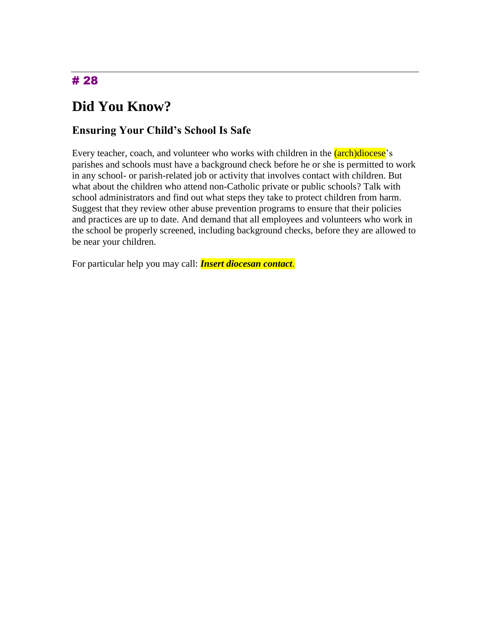# **Did You Know?**

#### **Ensuring Your Child's School Is Safe**

Every teacher, coach, and volunteer who works with children in the *(arch)diocese*'s parishes and schools must have a background check before he or she is permitted to work in any school- or parish-related job or activity that involves contact with children. But what about the children who attend non-Catholic private or public schools? Talk with school administrators and find out what steps they take to protect children from harm. Suggest that they review other abuse prevention programs to ensure that their policies and practices are up to date. And demand that all employees and volunteers who work in the school be properly screened, including background checks, before they are allowed to be near your children.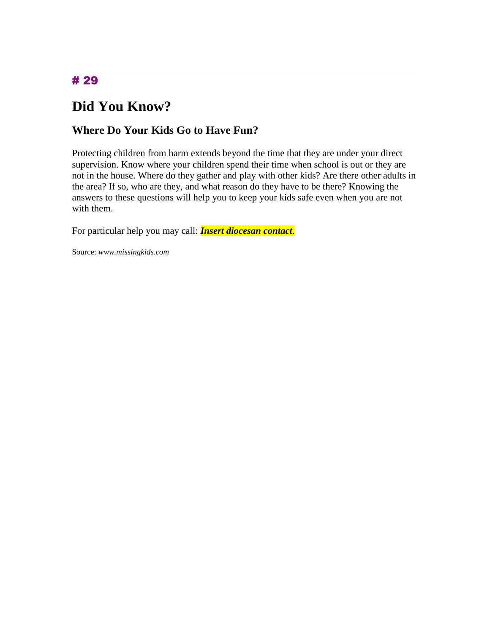## **Did You Know?**

#### **Where Do Your Kids Go to Have Fun?**

Protecting children from harm extends beyond the time that they are under your direct supervision. Know where your children spend their time when school is out or they are not in the house. Where do they gather and play with other kids? Are there other adults in the area? If so, who are they, and what reason do they have to be there? Knowing the answers to these questions will help you to keep your kids safe even when you are not with them.

For particular help you may call: *Insert diocesan contact*.

Source: *www.missingkids.com*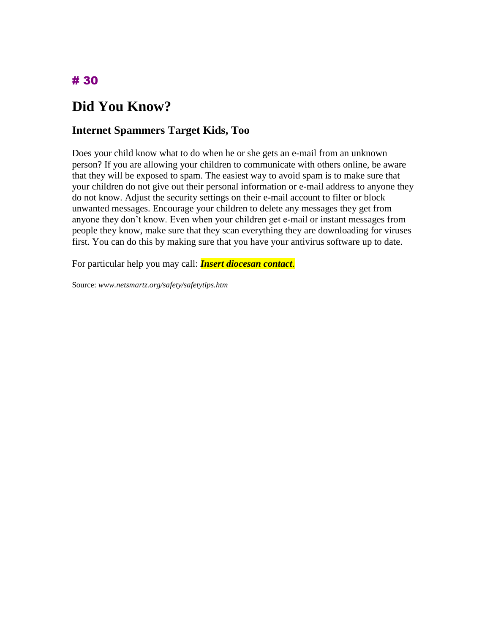# **Did You Know?**

#### **Internet Spammers Target Kids, Too**

Does your child know what to do when he or she gets an e-mail from an unknown person? If you are allowing your children to communicate with others online, be aware that they will be exposed to spam. The easiest way to avoid spam is to make sure that your children do not give out their personal information or e-mail address to anyone they do not know. Adjust the security settings on their e-mail account to filter or block unwanted messages. Encourage your children to delete any messages they get from anyone they don't know. Even when your children get e-mail or instant messages from people they know, make sure that they scan everything they are downloading for viruses first. You can do this by making sure that you have your antivirus software up to date.

For particular help you may call: *Insert diocesan contact*.

Source: *www.netsmartz.org/safety/safetytips.htm*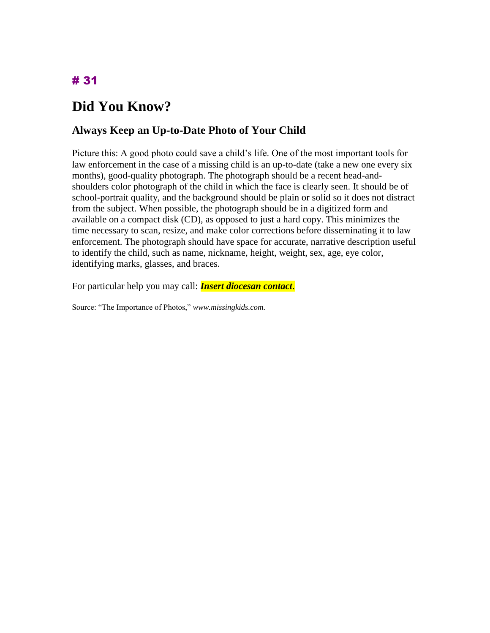# **Did You Know?**

#### **Always Keep an Up-to-Date Photo of Your Child**

Picture this: A good photo could save a child's life. One of the most important tools for law enforcement in the case of a missing child is an up-to-date (take a new one every six months), good-quality photograph. The photograph should be a recent head-andshoulders color photograph of the child in which the face is clearly seen. It should be of school-portrait quality, and the background should be plain or solid so it does not distract from the subject. When possible, the photograph should be in a digitized form and available on a compact disk (CD), as opposed to just a hard copy. This minimizes the time necessary to scan, resize, and make color corrections before disseminating it to law enforcement. The photograph should have space for accurate, narrative description useful to identify the child, such as name, nickname, height, weight, sex, age, eye color, identifying marks, glasses, and braces.

For particular help you may call: *Insert diocesan contact*.

Source: "The Importance of Photos," *www.missingkids.com.*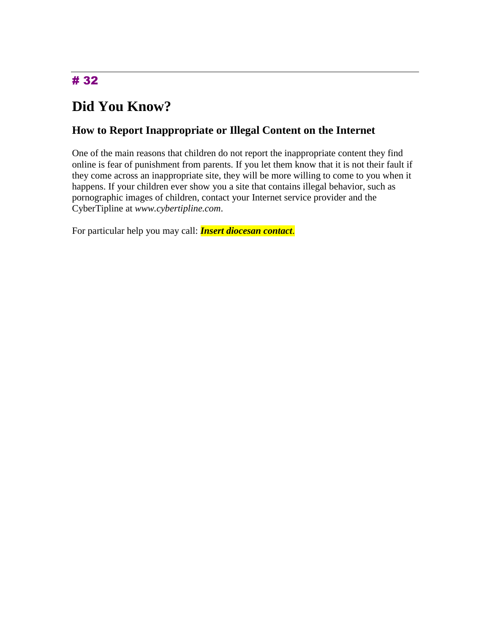# **Did You Know?**

### **How to Report Inappropriate or Illegal Content on the Internet**

One of the main reasons that children do not report the inappropriate content they find online is fear of punishment from parents. If you let them know that it is not their fault if they come across an inappropriate site, they will be more willing to come to you when it happens. If your children ever show you a site that contains illegal behavior, such as pornographic images of children, contact your Internet service provider and the CyberTipline at *www.cybertipline.com*.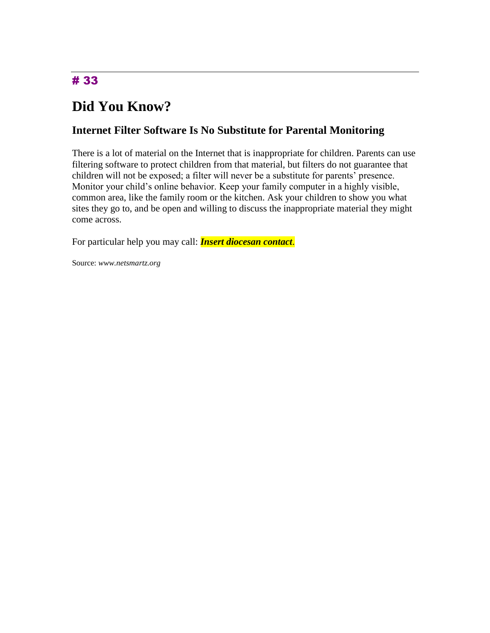# **Did You Know?**

#### **Internet Filter Software Is No Substitute for Parental Monitoring**

There is a lot of material on the Internet that is inappropriate for children. Parents can use filtering software to protect children from that material, but filters do not guarantee that children will not be exposed; a filter will never be a substitute for parents' presence. Monitor your child's online behavior. Keep your family computer in a highly visible, common area, like the family room or the kitchen. Ask your children to show you what sites they go to, and be open and willing to discuss the inappropriate material they might come across.

For particular help you may call: *Insert diocesan contact*.

Source: *www.netsmartz.org*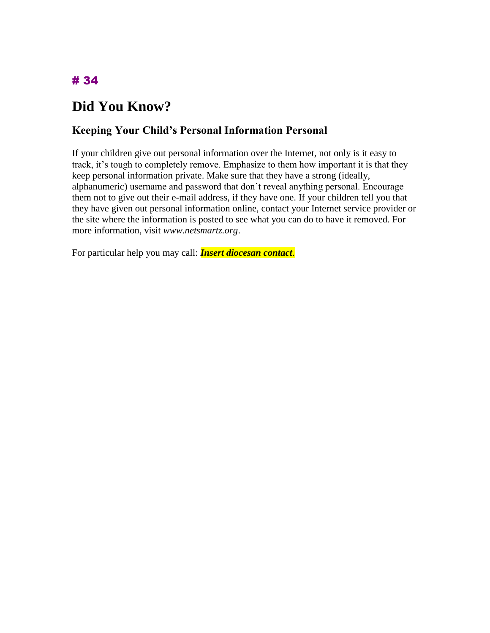# **Did You Know?**

### **Keeping Your Child's Personal Information Personal**

If your children give out personal information over the Internet, not only is it easy to track, it's tough to completely remove. Emphasize to them how important it is that they keep personal information private. Make sure that they have a strong (ideally, alphanumeric) username and password that don't reveal anything personal. Encourage them not to give out their e-mail address, if they have one. If your children tell you that they have given out personal information online, contact your Internet service provider or the site where the information is posted to see what you can do to have it removed. For more information, visit *www.netsmartz.org*.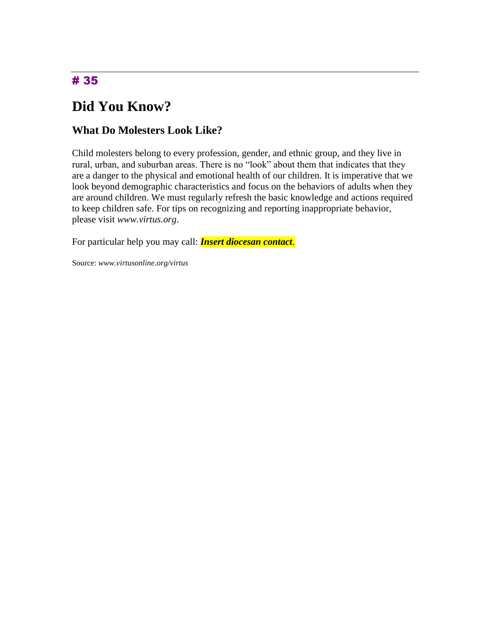# **Did You Know?**

#### **What Do Molesters Look Like?**

Child molesters belong to every profession, gender, and ethnic group, and they live in rural, urban, and suburban areas. There is no "look" about them that indicates that they are a danger to the physical and emotional health of our children. It is imperative that we look beyond demographic characteristics and focus on the behaviors of adults when they are around children. We must regularly refresh the basic knowledge and actions required to keep children safe. For tips on recognizing and reporting inappropriate behavior, please visit *www.virtus.org*.

For particular help you may call: *Insert diocesan contact*.

Source: *www.virtusonline.org/virtus*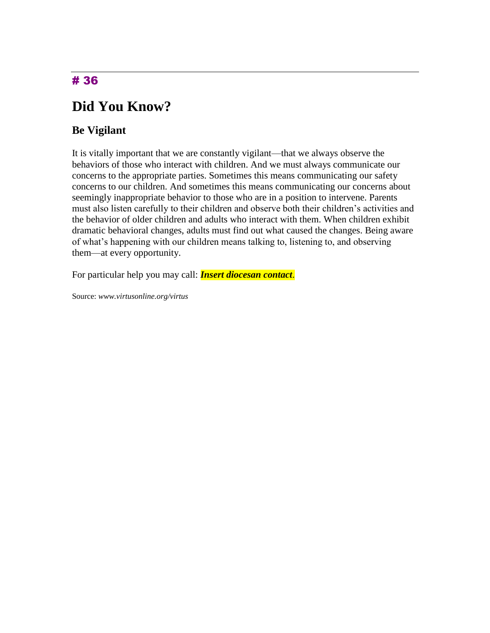## **Did You Know?**

### **Be Vigilant**

It is vitally important that we are constantly vigilant—that we always observe the behaviors of those who interact with children. And we must always communicate our concerns to the appropriate parties. Sometimes this means communicating our safety concerns to our children. And sometimes this means communicating our concerns about seemingly inappropriate behavior to those who are in a position to intervene. Parents must also listen carefully to their children and observe both their children's activities and the behavior of older children and adults who interact with them. When children exhibit dramatic behavioral changes, adults must find out what caused the changes. Being aware of what's happening with our children means talking to, listening to, and observing them—at every opportunity.

For particular help you may call: *Insert diocesan contact*.

Source: *www.virtusonline.org/virtus*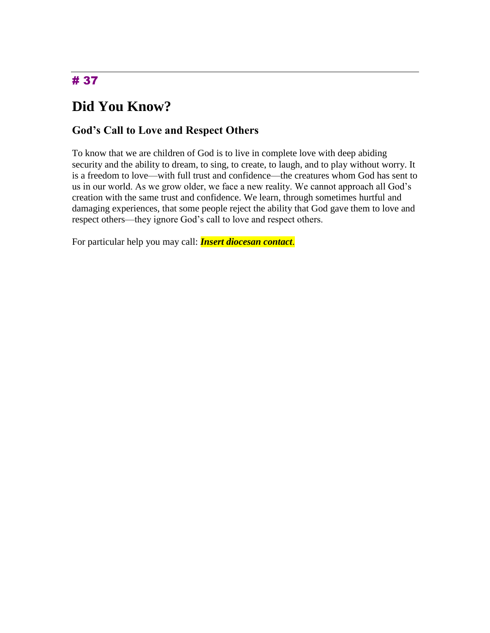# **Did You Know?**

### **God's Call to Love and Respect Others**

To know that we are children of God is to live in complete love with deep abiding security and the ability to dream, to sing, to create, to laugh, and to play without worry. It is a freedom to love—with full trust and confidence—the creatures whom God has sent to us in our world. As we grow older, we face a new reality. We cannot approach all God's creation with the same trust and confidence. We learn, through sometimes hurtful and damaging experiences, that some people reject the ability that God gave them to love and respect others—they ignore God's call to love and respect others.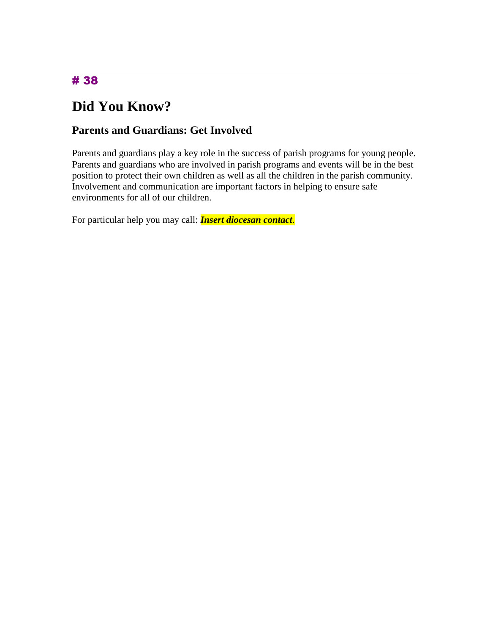# **Did You Know?**

### **Parents and Guardians: Get Involved**

Parents and guardians play a key role in the success of parish programs for young people. Parents and guardians who are involved in parish programs and events will be in the best position to protect their own children as well as all the children in the parish community. Involvement and communication are important factors in helping to ensure safe environments for all of our children.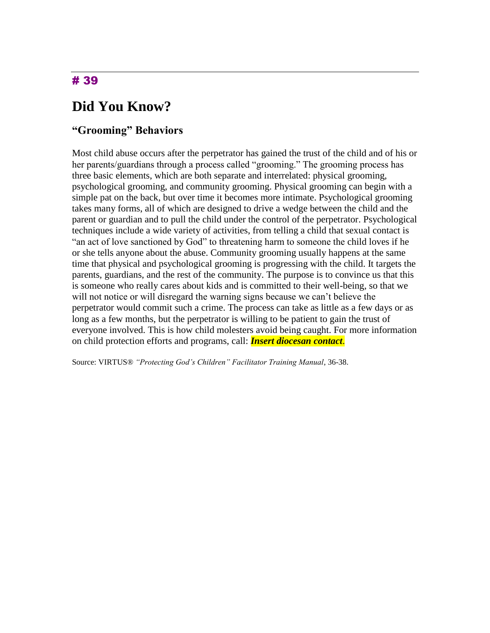## **Did You Know?**

#### **"Grooming" Behaviors**

Most child abuse occurs after the perpetrator has gained the trust of the child and of his or her parents/guardians through a process called "grooming." The grooming process has three basic elements, which are both separate and interrelated: physical grooming, psychological grooming, and community grooming. Physical grooming can begin with a simple pat on the back, but over time it becomes more intimate. Psychological grooming takes many forms, all of which are designed to drive a wedge between the child and the parent or guardian and to pull the child under the control of the perpetrator. Psychological techniques include a wide variety of activities, from telling a child that sexual contact is "an act of love sanctioned by God" to threatening harm to someone the child loves if he or she tells anyone about the abuse. Community grooming usually happens at the same time that physical and psychological grooming is progressing with the child. It targets the parents, guardians, and the rest of the community. The purpose is to convince us that this is someone who really cares about kids and is committed to their well-being, so that we will not notice or will disregard the warning signs because we can't believe the perpetrator would commit such a crime. The process can take as little as a few days or as long as a few months, but the perpetrator is willing to be patient to gain the trust of everyone involved. This is how child molesters avoid being caught. For more information on child protection efforts and programs, call: *Insert diocesan contact*.

Source: VIRTUS® *"Protecting God's Children" Facilitator Training Manual*, 36-38.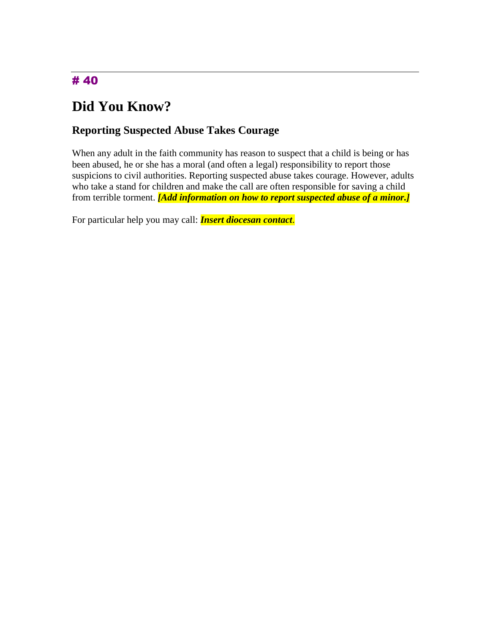# **Did You Know?**

### **Reporting Suspected Abuse Takes Courage**

When any adult in the faith community has reason to suspect that a child is being or has been abused, he or she has a moral (and often a legal) responsibility to report those suspicions to civil authorities. Reporting suspected abuse takes courage. However, adults who take a stand for children and make the call are often responsible for saving a child from terrible torment. *[Add information on how to report suspected abuse of a minor.]*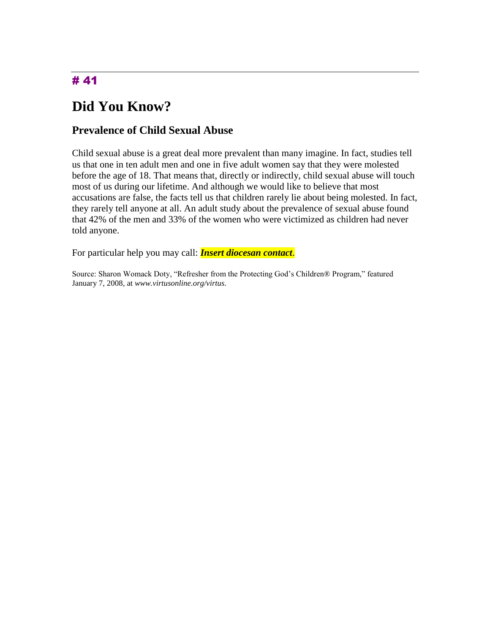# **Did You Know?**

#### **Prevalence of Child Sexual Abuse**

Child sexual abuse is a great deal more prevalent than many imagine. In fact, studies tell us that one in ten adult men and one in five adult women say that they were molested before the age of 18. That means that, directly or indirectly, child sexual abuse will touch most of us during our lifetime. And although we would like to believe that most accusations are false, the facts tell us that children rarely lie about being molested. In fact, they rarely tell anyone at all. An adult study about the prevalence of sexual abuse found that 42% of the men and 33% of the women who were victimized as children had never told anyone.

For particular help you may call: *Insert diocesan contact*.

Source: Sharon Womack Doty, "Refresher from the Protecting God's Children® Program," featured January 7, 2008, at *www.virtusonline.org/virtus*.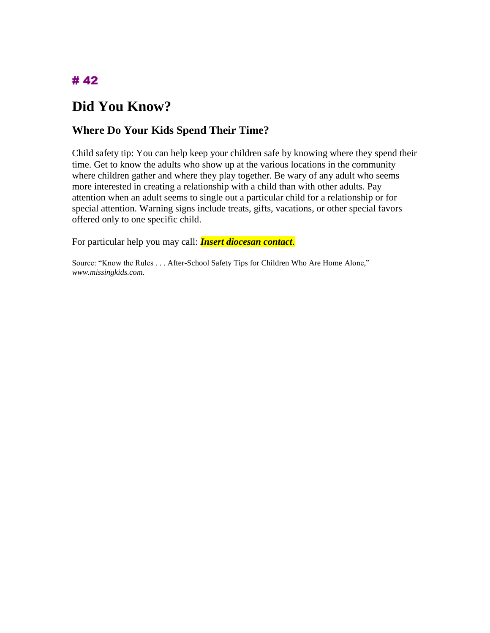# **Did You Know?**

### **Where Do Your Kids Spend Their Time?**

Child safety tip: You can help keep your children safe by knowing where they spend their time. Get to know the adults who show up at the various locations in the community where children gather and where they play together. Be wary of any adult who seems more interested in creating a relationship with a child than with other adults. Pay attention when an adult seems to single out a particular child for a relationship or for special attention. Warning signs include treats, gifts, vacations, or other special favors offered only to one specific child.

For particular help you may call: *Insert diocesan contact*.

Source: "Know the Rules . . . After-School Safety Tips for Children Who Are Home Alone," *www.missingkids.com*.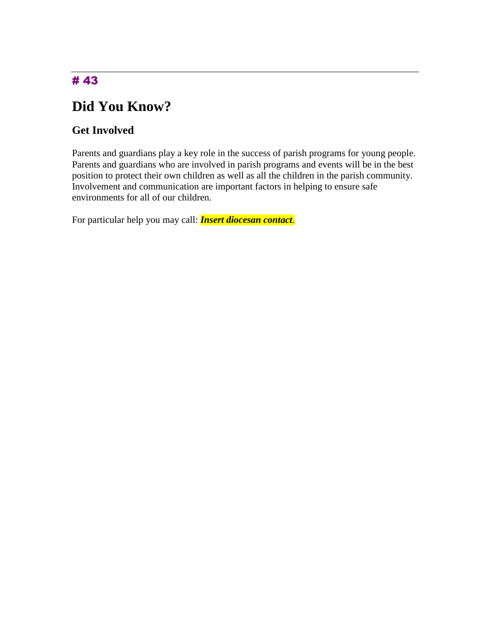# **Did You Know?**

### **Get Involved**

Parents and guardians play a key role in the success of parish programs for young people. Parents and guardians who are involved in parish programs and events will be in the best position to protect their own children as well as all the children in the parish community. Involvement and communication are important factors in helping to ensure safe environments for all of our children.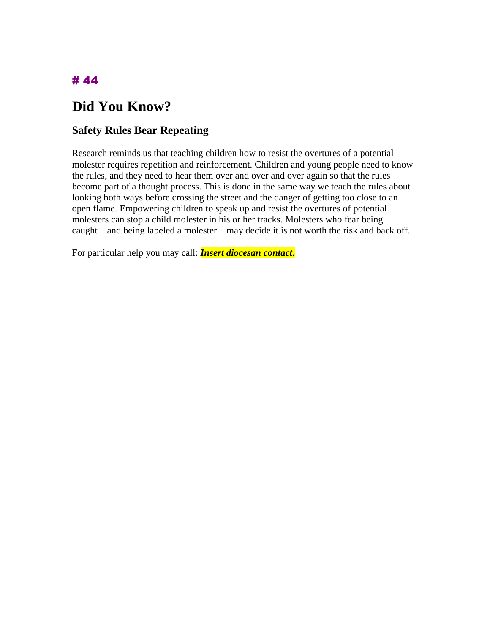# **Did You Know?**

### **Safety Rules Bear Repeating**

Research reminds us that teaching children how to resist the overtures of a potential molester requires repetition and reinforcement. Children and young people need to know the rules, and they need to hear them over and over and over again so that the rules become part of a thought process. This is done in the same way we teach the rules about looking both ways before crossing the street and the danger of getting too close to an open flame. Empowering children to speak up and resist the overtures of potential molesters can stop a child molester in his or her tracks. Molesters who fear being caught—and being labeled a molester—may decide it is not worth the risk and back off.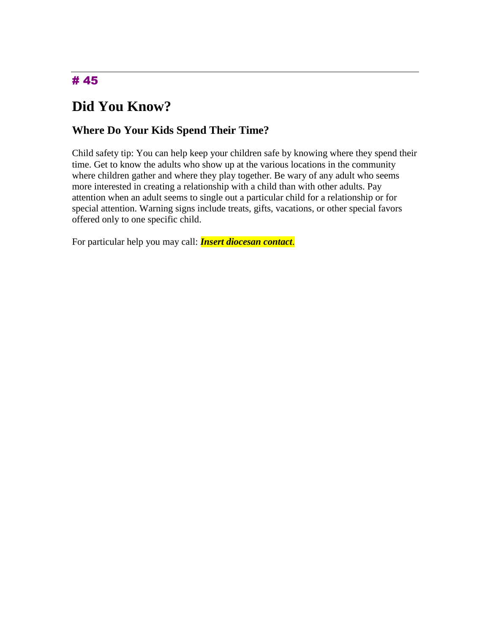# **Did You Know?**

### **Where Do Your Kids Spend Their Time?**

Child safety tip: You can help keep your children safe by knowing where they spend their time. Get to know the adults who show up at the various locations in the community where children gather and where they play together. Be wary of any adult who seems more interested in creating a relationship with a child than with other adults. Pay attention when an adult seems to single out a particular child for a relationship or for special attention. Warning signs include treats, gifts, vacations, or other special favors offered only to one specific child.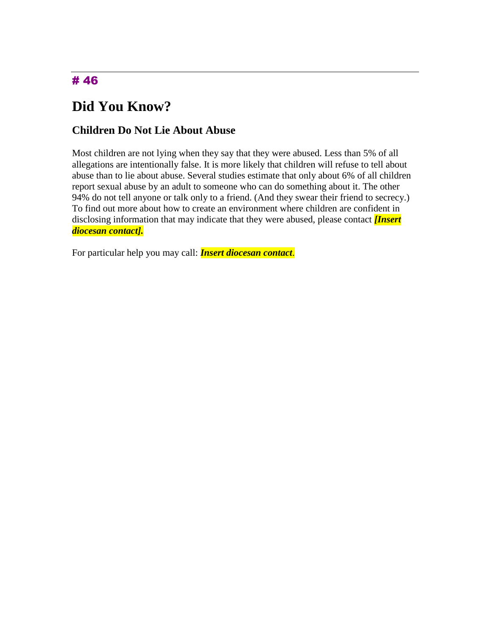# **Did You Know?**

### **Children Do Not Lie About Abuse**

Most children are not lying when they say that they were abused. Less than 5% of all allegations are intentionally false. It is more likely that children will refuse to tell about abuse than to lie about abuse. Several studies estimate that only about 6% of all children report sexual abuse by an adult to someone who can do something about it. The other 94% do not tell anyone or talk only to a friend. (And they swear their friend to secrecy.) To find out more about how to create an environment where children are confident in disclosing information that may indicate that they were abused, please contact *[Insert diocesan contact].*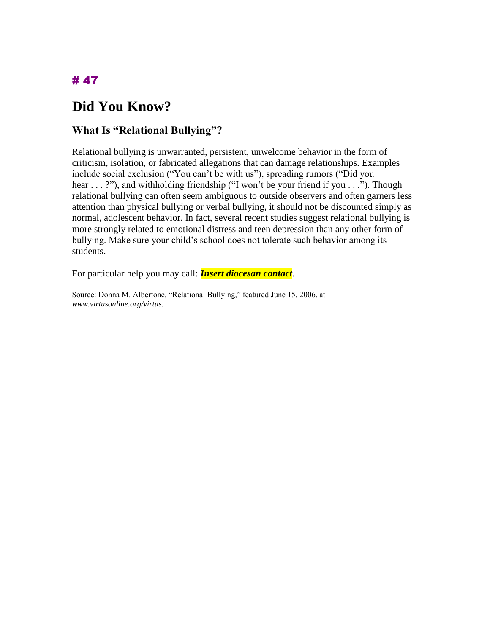# **Did You Know?**

### **What Is "Relational Bullying"?**

Relational bullying is unwarranted, persistent, unwelcome behavior in the form of criticism, isolation, or fabricated allegations that can damage relationships. Examples include social exclusion ("You can't be with us"), spreading rumors ("Did you hear . . . ?"), and withholding friendship ("I won't be your friend if you . . ."). Though relational bullying can often seem ambiguous to outside observers and often garners less attention than physical bullying or verbal bullying, it should not be discounted simply as normal, adolescent behavior. In fact, several recent studies suggest relational bullying is more strongly related to emotional distress and teen depression than any other form of bullying. Make sure your child's school does not tolerate such behavior among its students.

For particular help you may call: *Insert diocesan contact*.

Source: Donna M. Albertone, "Relational Bullying," featured June 15, 2006, at *www.virtusonline.org/virtus.*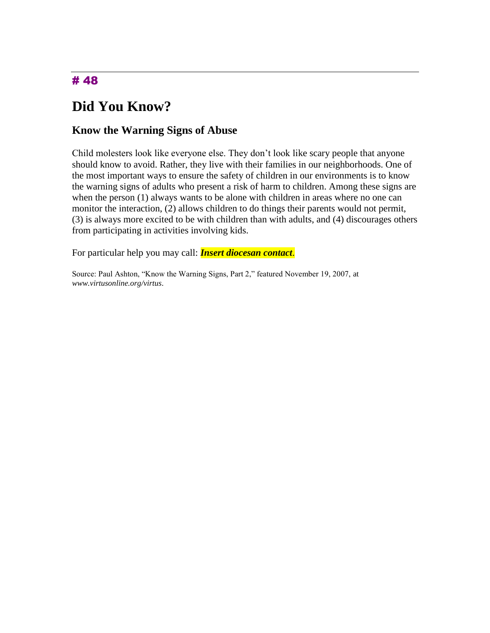# **Did You Know?**

#### **Know the Warning Signs of Abuse**

Child molesters look like everyone else. They don't look like scary people that anyone should know to avoid. Rather, they live with their families in our neighborhoods. One of the most important ways to ensure the safety of children in our environments is to know the warning signs of adults who present a risk of harm to children. Among these signs are when the person (1) always wants to be alone with children in areas where no one can monitor the interaction, (2) allows children to do things their parents would not permit, (3) is always more excited to be with children than with adults, and (4) discourages others from participating in activities involving kids.

For particular help you may call: *Insert diocesan contact*.

Source: Paul Ashton, "Know the Warning Signs, Part 2," featured November 19, 2007, at *www.virtusonline.org/virtus*.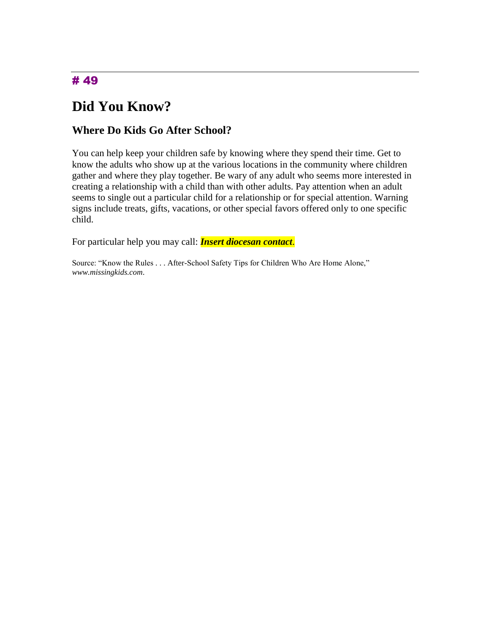# **Did You Know?**

### **Where Do Kids Go After School?**

You can help keep your children safe by knowing where they spend their time. Get to know the adults who show up at the various locations in the community where children gather and where they play together. Be wary of any adult who seems more interested in creating a relationship with a child than with other adults. Pay attention when an adult seems to single out a particular child for a relationship or for special attention. Warning signs include treats, gifts, vacations, or other special favors offered only to one specific child.

For particular help you may call: *Insert diocesan contact*.

Source: "Know the Rules . . . After-School Safety Tips for Children Who Are Home Alone," *www.missingkids.com*.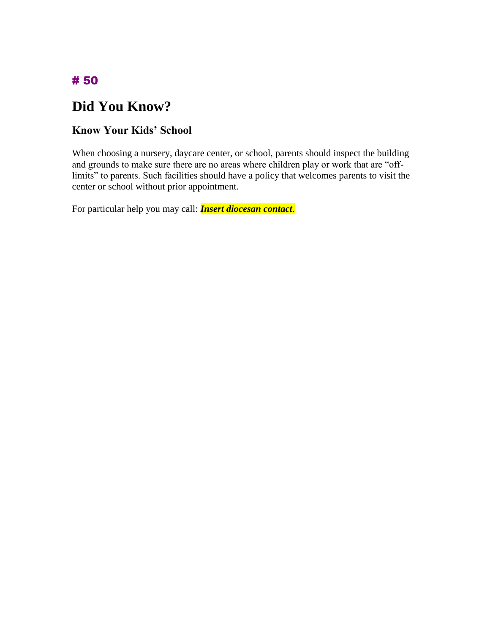# **Did You Know?**

### **Know Your Kids' School**

When choosing a nursery, daycare center, or school, parents should inspect the building and grounds to make sure there are no areas where children play or work that are "offlimits" to parents. Such facilities should have a policy that welcomes parents to visit the center or school without prior appointment.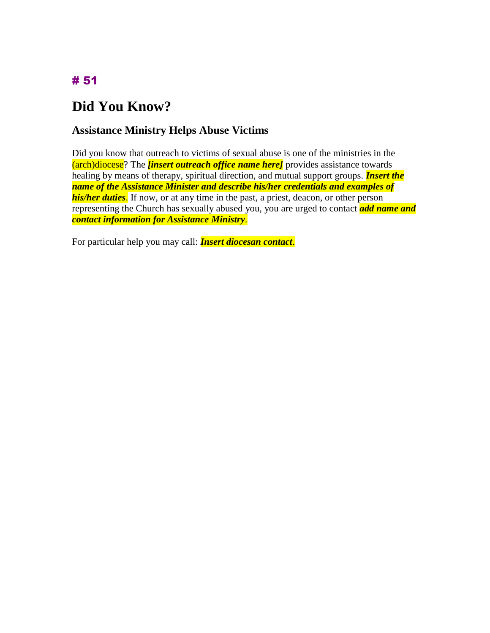# **Did You Know?**

#### **Assistance Ministry Helps Abuse Victims**

Did you know that outreach to victims of sexual abuse is one of the ministries in the (arch)diocese? The *[insert outreach office name here]* provides assistance towards healing by means of therapy, spiritual direction, and mutual support groups. *Insert the name of the Assistance Minister and describe his/her credentials and examples of his/her duties*. If now, or at any time in the past, a priest, deacon, or other person representing the Church has sexually abused you, you are urged to contact *add name and contact information for Assistance Ministry*.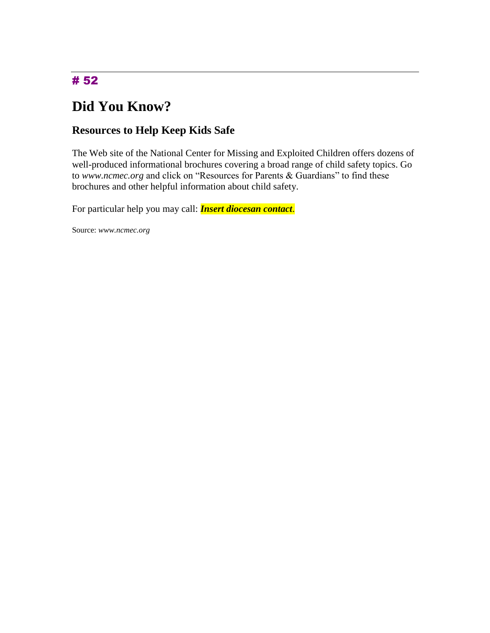# **Did You Know?**

### **Resources to Help Keep Kids Safe**

The Web site of the National Center for Missing and Exploited Children offers dozens of well-produced informational brochures covering a broad range of child safety topics. Go to *www.ncmec.org* and click on "Resources for Parents & Guardians" to find these brochures and other helpful information about child safety.

For particular help you may call: *Insert diocesan contact*.

Source: *www.ncmec.org*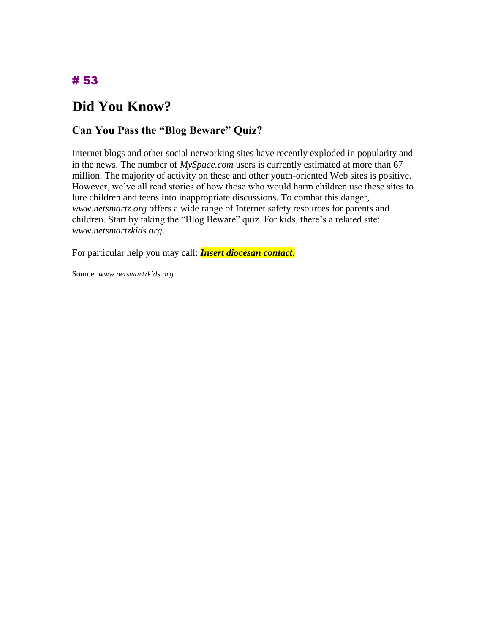# **Did You Know?**

### **Can You Pass the "Blog Beware" Quiz?**

Internet blogs and other social networking sites have recently exploded in popularity and in the news. The number of *MySpace.com* users is currently estimated at more than 67 million. The majority of activity on these and other youth-oriented Web sites is positive. However, we've all read stories of how those who would harm children use these sites to lure children and teens into inappropriate discussions. To combat this danger, *www.netsmartz.org* offers a wide range of Internet safety resources for parents and children. Start by taking the "Blog Beware" quiz. For kids, there's a related site: *www.netsmartzkids.org*.

For particular help you may call: *Insert diocesan contact*.

Source: *www.netsmartzkids.org*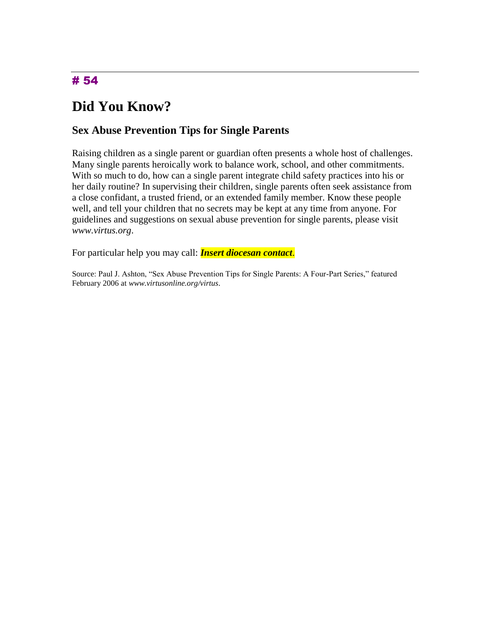# **Did You Know?**

### **Sex Abuse Prevention Tips for Single Parents**

Raising children as a single parent or guardian often presents a whole host of challenges. Many single parents heroically work to balance work, school, and other commitments. With so much to do, how can a single parent integrate child safety practices into his or her daily routine? In supervising their children, single parents often seek assistance from a close confidant, a trusted friend, or an extended family member. Know these people well, and tell your children that no secrets may be kept at any time from anyone. For guidelines and suggestions on sexual abuse prevention for single parents, please visit *www.virtus.org*.

For particular help you may call: *Insert diocesan contact*.

Source: Paul J. Ashton, "Sex Abuse Prevention Tips for Single Parents: A Four-Part Series," featured February 2006 at *www.virtusonline.org/virtus*.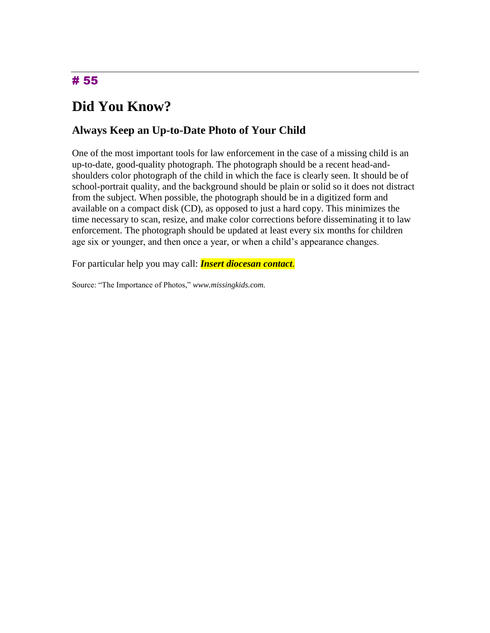# **Did You Know?**

### **Always Keep an Up-to-Date Photo of Your Child**

One of the most important tools for law enforcement in the case of a missing child is an up-to-date, good-quality photograph. The photograph should be a recent head-andshoulders color photograph of the child in which the face is clearly seen. It should be of school-portrait quality, and the background should be plain or solid so it does not distract from the subject. When possible, the photograph should be in a digitized form and available on a compact disk (CD), as opposed to just a hard copy. This minimizes the time necessary to scan, resize, and make color corrections before disseminating it to law enforcement. The photograph should be updated at least every six months for children age six or younger, and then once a year, or when a child's appearance changes.

For particular help you may call: *Insert diocesan contact*.

Source: "The Importance of Photos," *www.missingkids.com.*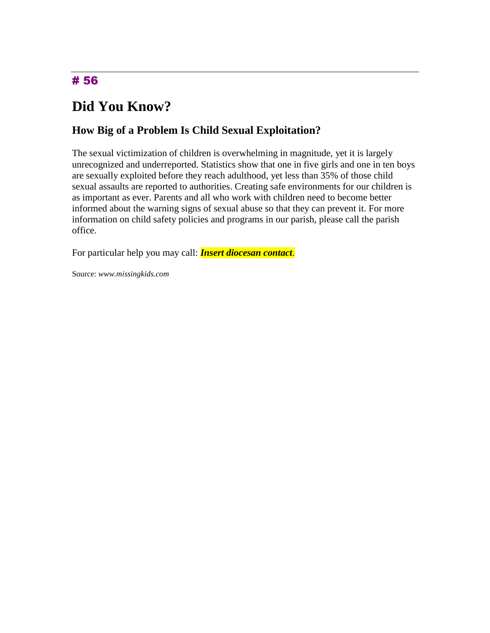# **Did You Know?**

### **How Big of a Problem Is Child Sexual Exploitation?**

The sexual victimization of children is overwhelming in magnitude, yet it is largely unrecognized and underreported. Statistics show that one in five girls and one in ten boys are sexually exploited before they reach adulthood, yet less than 35% of those child sexual assaults are reported to authorities. Creating safe environments for our children is as important as ever. Parents and all who work with children need to become better informed about the warning signs of sexual abuse so that they can prevent it. For more information on child safety policies and programs in our parish, please call the parish office.

For particular help you may call: *Insert diocesan contact*.

Source: *www.missingkids.com*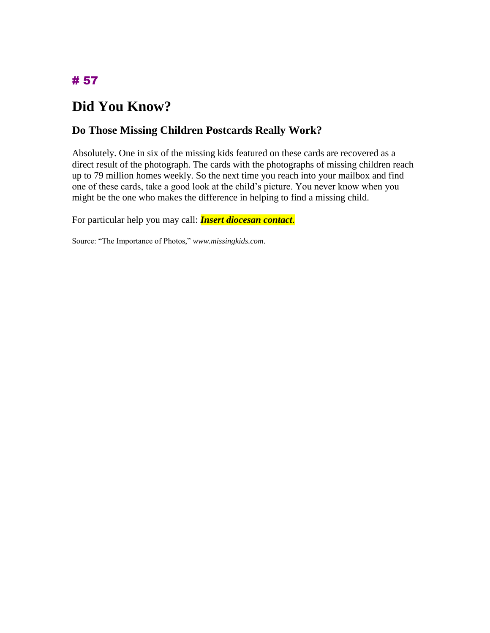# **Did You Know?**

### **Do Those Missing Children Postcards Really Work?**

Absolutely. One in six of the missing kids featured on these cards are recovered as a direct result of the photograph. The cards with the photographs of missing children reach up to 79 million homes weekly. So the next time you reach into your mailbox and find one of these cards, take a good look at the child's picture. You never know when you might be the one who makes the difference in helping to find a missing child.

For particular help you may call: *Insert diocesan contact*.

Source: "The Importance of Photos," *www.missingkids.com*.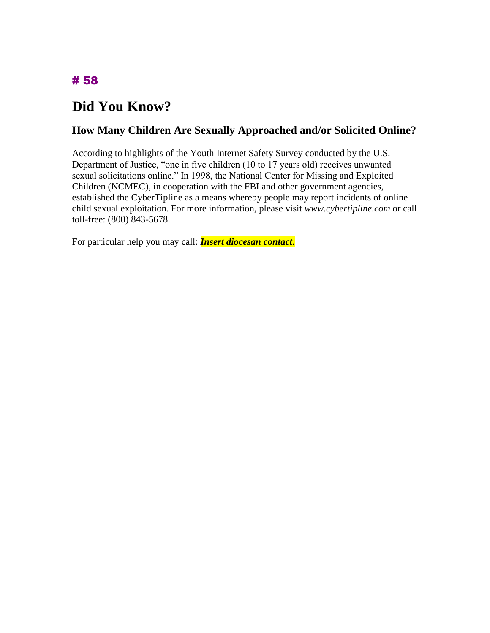# **Did You Know?**

### **How Many Children Are Sexually Approached and/or Solicited Online?**

According to highlights of the Youth Internet Safety Survey conducted by the U.S. Department of Justice, "one in five children (10 to 17 years old) receives unwanted sexual solicitations online." In 1998, the National Center for Missing and Exploited Children (NCMEC), in cooperation with the FBI and other government agencies, established the CyberTipline as a means whereby people may report incidents of online child sexual exploitation. For more information, please visit *www.cybertipline.com* or call toll-free: (800) 843-5678.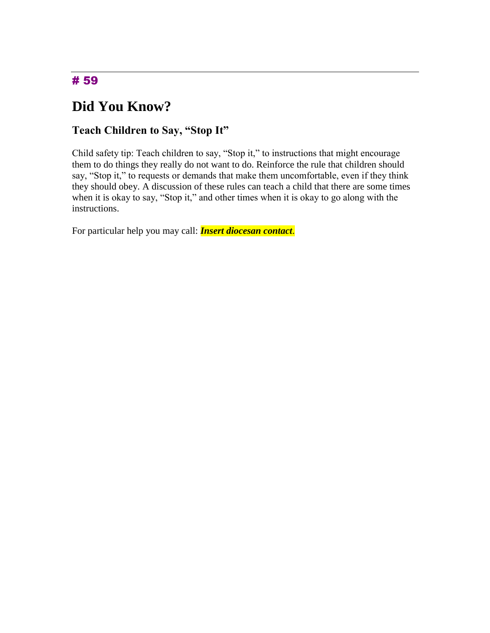# **Did You Know?**

### **Teach Children to Say, "Stop It"**

Child safety tip: Teach children to say, "Stop it," to instructions that might encourage them to do things they really do not want to do. Reinforce the rule that children should say, "Stop it," to requests or demands that make them uncomfortable, even if they think they should obey. A discussion of these rules can teach a child that there are some times when it is okay to say, "Stop it," and other times when it is okay to go along with the instructions.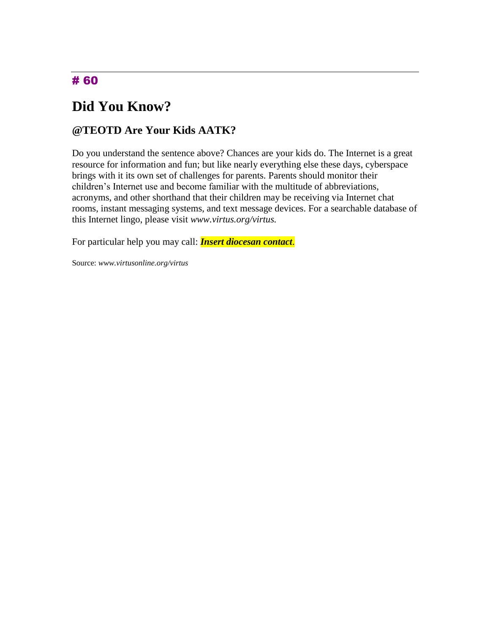# **Did You Know?**

### **@TEOTD Are Your Kids AATK?**

Do you understand the sentence above? Chances are your kids do. The Internet is a great resource for information and fun; but like nearly everything else these days, cyberspace brings with it its own set of challenges for parents. Parents should monitor their children's Internet use and become familiar with the multitude of abbreviations, acronyms, and other shorthand that their children may be receiving via Internet chat rooms, instant messaging systems, and text message devices. For a searchable database of this Internet lingo, please visit *www.virtus.org/virtus.*

For particular help you may call: *Insert diocesan contact*.

Source: *www.virtusonline.org/virtus*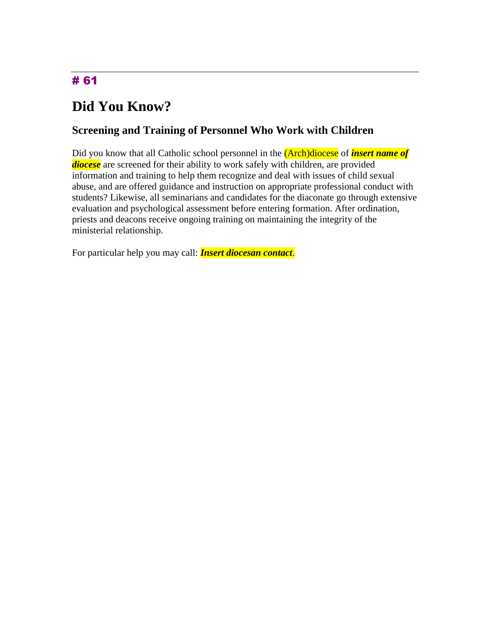# **Did You Know?**

#### **Screening and Training of Personnel Who Work with Children**

Did you know that all Catholic school personnel in the (Arch)diocese of *insert name of diocese* are screened for their ability to work safely with children, are provided information and training to help them recognize and deal with issues of child sexual abuse, and are offered guidance and instruction on appropriate professional conduct with students? Likewise, all seminarians and candidates for the diaconate go through extensive evaluation and psychological assessment before entering formation. After ordination, priests and deacons receive ongoing training on maintaining the integrity of the ministerial relationship.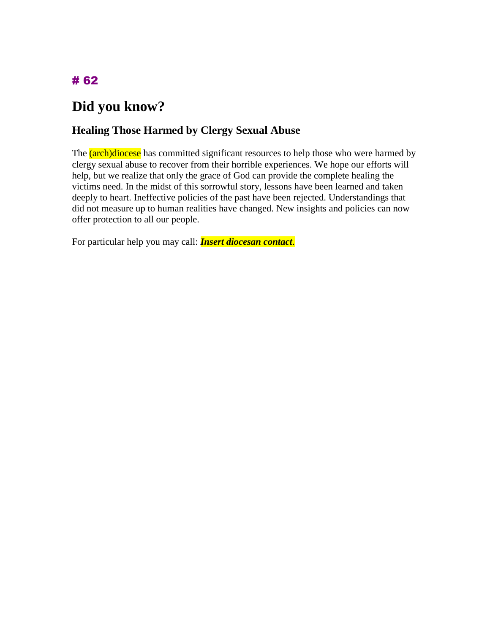# **Did you know?**

### **Healing Those Harmed by Clergy Sexual Abuse**

The (arch)diocese has committed significant resources to help those who were harmed by clergy sexual abuse to recover from their horrible experiences. We hope our efforts will help, but we realize that only the grace of God can provide the complete healing the victims need. In the midst of this sorrowful story, lessons have been learned and taken deeply to heart. Ineffective policies of the past have been rejected. Understandings that did not measure up to human realities have changed. New insights and policies can now offer protection to all our people.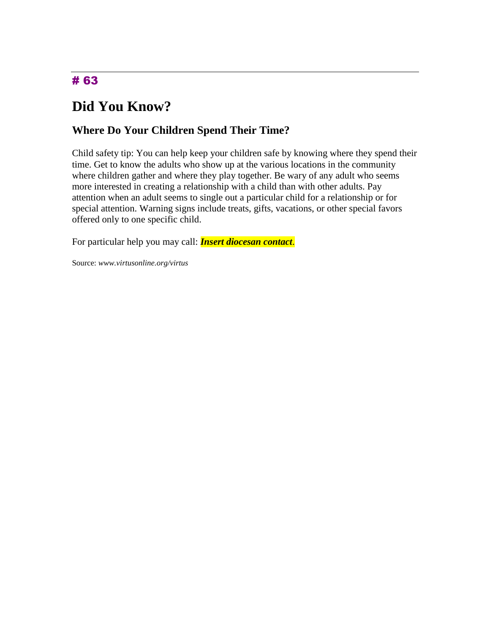# **Did You Know?**

### **Where Do Your Children Spend Their Time?**

Child safety tip: You can help keep your children safe by knowing where they spend their time. Get to know the adults who show up at the various locations in the community where children gather and where they play together. Be wary of any adult who seems more interested in creating a relationship with a child than with other adults. Pay attention when an adult seems to single out a particular child for a relationship or for special attention. Warning signs include treats, gifts, vacations, or other special favors offered only to one specific child.

For particular help you may call: *Insert diocesan contact*.

Source: *www.virtusonline.org/virtus*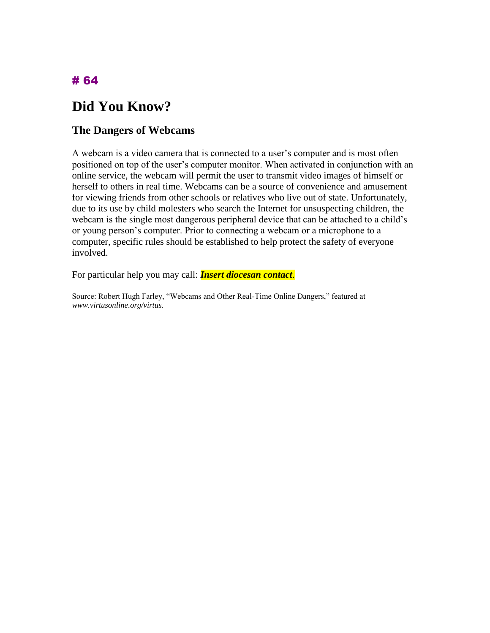# **Did You Know?**

#### **The Dangers of Webcams**

A webcam is a video camera that is connected to a user's computer and is most often positioned on top of the user's computer monitor. When activated in conjunction with an online service, the webcam will permit the user to transmit video images of himself or herself to others in real time. Webcams can be a source of convenience and amusement for viewing friends from other schools or relatives who live out of state. Unfortunately, due to its use by child molesters who search the Internet for unsuspecting children, the webcam is the single most dangerous peripheral device that can be attached to a child's or young person's computer. Prior to connecting a webcam or a microphone to a computer, specific rules should be established to help protect the safety of everyone involved.

For particular help you may call: *Insert diocesan contact*.

Source: Robert Hugh Farley, "Webcams and Other Real-Time Online Dangers," featured at *www.virtusonline.org/virtus*.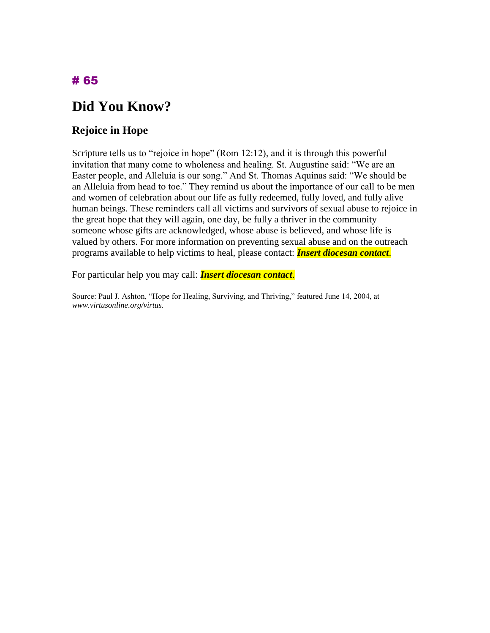## **Did You Know?**

### **Rejoice in Hope**

Scripture tells us to "rejoice in hope" (Rom 12:12), and it is through this powerful invitation that many come to wholeness and healing. St. Augustine said: "We are an Easter people, and Alleluia is our song." And St. Thomas Aquinas said: "We should be an Alleluia from head to toe." They remind us about the importance of our call to be men and women of celebration about our life as fully redeemed, fully loved, and fully alive human beings. These reminders call all victims and survivors of sexual abuse to rejoice in the great hope that they will again, one day, be fully a thriver in the community someone whose gifts are acknowledged, whose abuse is believed, and whose life is valued by others. For more information on preventing sexual abuse and on the outreach programs available to help victims to heal, please contact: *Insert diocesan contact*.

For particular help you may call: *Insert diocesan contact*.

Source: Paul J. Ashton, "Hope for Healing, Surviving, and Thriving," featured June 14, 2004, at *www.virtusonline.org/virtus*.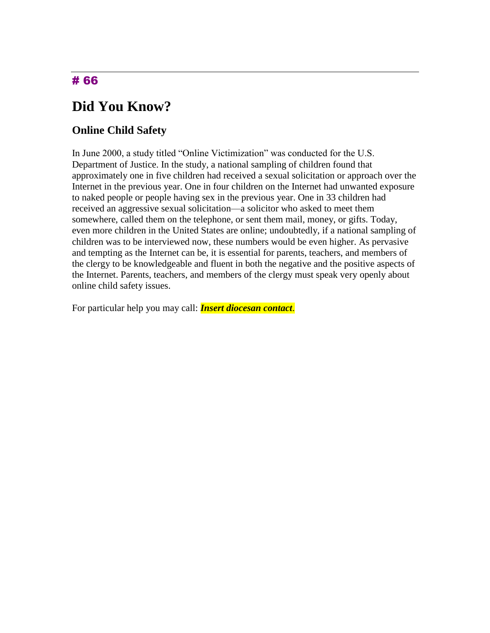## **Did You Know?**

#### **Online Child Safety**

In June 2000, a study titled "Online Victimization" was conducted for the U.S. Department of Justice. In the study, a national sampling of children found that approximately one in five children had received a sexual solicitation or approach over the Internet in the previous year. One in four children on the Internet had unwanted exposure to naked people or people having sex in the previous year. One in 33 children had received an aggressive sexual solicitation—a solicitor who asked to meet them somewhere, called them on the telephone, or sent them mail, money, or gifts. Today, even more children in the United States are online; undoubtedly, if a national sampling of children was to be interviewed now, these numbers would be even higher. As pervasive and tempting as the Internet can be, it is essential for parents, teachers, and members of the clergy to be knowledgeable and fluent in both the negative and the positive aspects of the Internet. Parents, teachers, and members of the clergy must speak very openly about online child safety issues.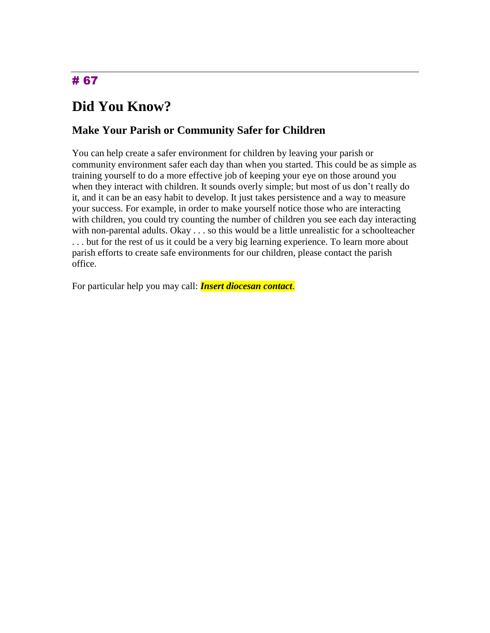# **Did You Know?**

### **Make Your Parish or Community Safer for Children**

You can help create a safer environment for children by leaving your parish or community environment safer each day than when you started. This could be as simple as training yourself to do a more effective job of keeping your eye on those around you when they interact with children. It sounds overly simple; but most of us don't really do it, and it can be an easy habit to develop. It just takes persistence and a way to measure your success. For example, in order to make yourself notice those who are interacting with children, you could try counting the number of children you see each day interacting with non-parental adults. Okay . . . so this would be a little unrealistic for a schoolteacher . . . but for the rest of us it could be a very big learning experience. To learn more about parish efforts to create safe environments for our children, please contact the parish office.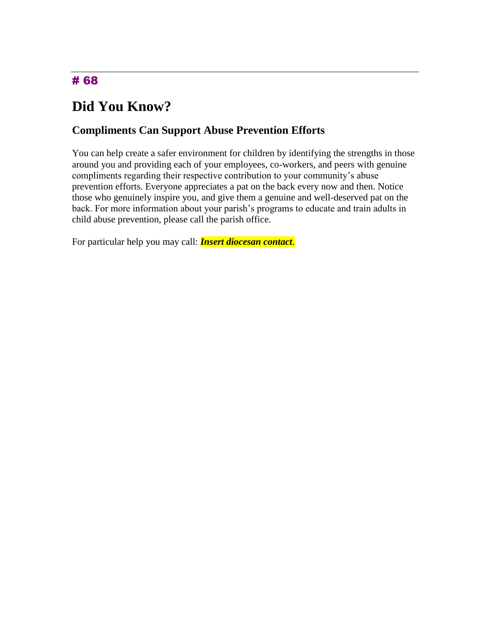# **Did You Know?**

### **Compliments Can Support Abuse Prevention Efforts**

You can help create a safer environment for children by identifying the strengths in those around you and providing each of your employees, co-workers, and peers with genuine compliments regarding their respective contribution to your community's abuse prevention efforts. Everyone appreciates a pat on the back every now and then. Notice those who genuinely inspire you, and give them a genuine and well-deserved pat on the back. For more information about your parish's programs to educate and train adults in child abuse prevention, please call the parish office.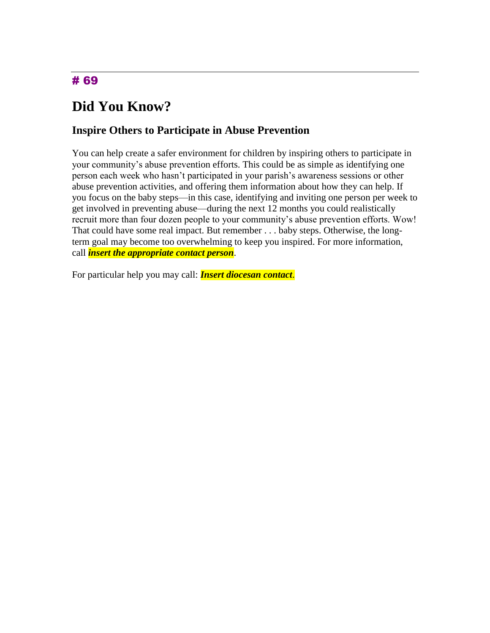# **Did You Know?**

#### **Inspire Others to Participate in Abuse Prevention**

You can help create a safer environment for children by inspiring others to participate in your community's abuse prevention efforts. This could be as simple as identifying one person each week who hasn't participated in your parish's awareness sessions or other abuse prevention activities, and offering them information about how they can help. If you focus on the baby steps—in this case, identifying and inviting one person per week to get involved in preventing abuse—during the next 12 months you could realistically recruit more than four dozen people to your community's abuse prevention efforts. Wow! That could have some real impact. But remember . . . baby steps. Otherwise, the longterm goal may become too overwhelming to keep you inspired. For more information, call *insert the appropriate contact person*.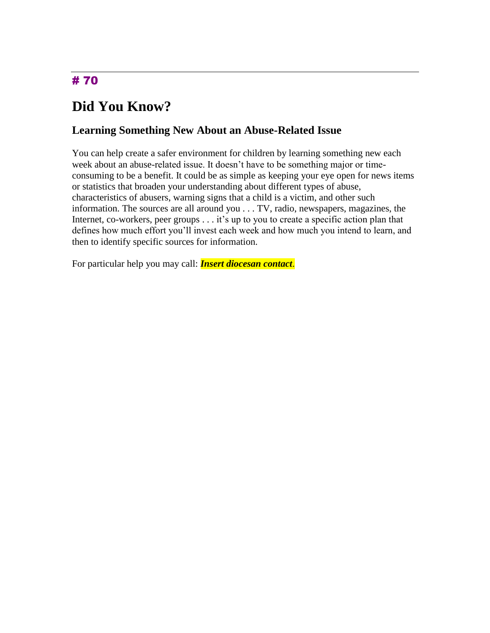# **Did You Know?**

### **Learning Something New About an Abuse-Related Issue**

You can help create a safer environment for children by learning something new each week about an abuse-related issue. It doesn't have to be something major or timeconsuming to be a benefit. It could be as simple as keeping your eye open for news items or statistics that broaden your understanding about different types of abuse, characteristics of abusers, warning signs that a child is a victim, and other such information. The sources are all around you . . . TV, radio, newspapers, magazines, the Internet, co-workers, peer groups . . . it's up to you to create a specific action plan that defines how much effort you'll invest each week and how much you intend to learn, and then to identify specific sources for information.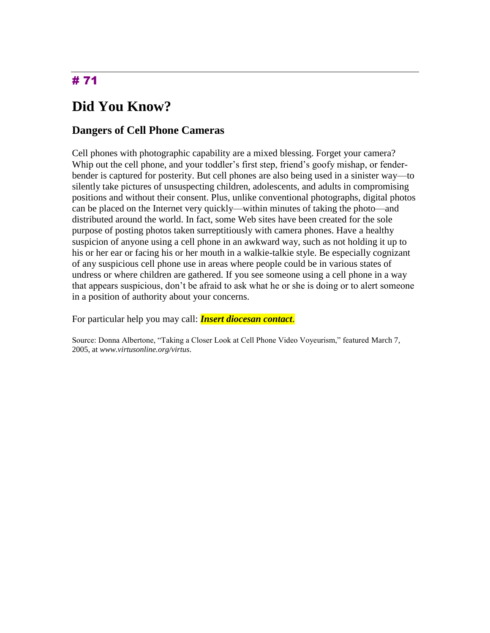# **Did You Know?**

### **Dangers of Cell Phone Cameras**

Cell phones with photographic capability are a mixed blessing. Forget your camera? Whip out the cell phone, and your toddler's first step, friend's goofy mishap, or fenderbender is captured for posterity. But cell phones are also being used in a sinister way—to silently take pictures of unsuspecting children, adolescents, and adults in compromising positions and without their consent. Plus, unlike conventional photographs, digital photos can be placed on the Internet very quickly—within minutes of taking the photo—and distributed around the world. In fact, some Web sites have been created for the sole purpose of posting photos taken surreptitiously with camera phones. Have a healthy suspicion of anyone using a cell phone in an awkward way, such as not holding it up to his or her ear or facing his or her mouth in a walkie-talkie style. Be especially cognizant of any suspicious cell phone use in areas where people could be in various states of undress or where children are gathered. If you see someone using a cell phone in a way that appears suspicious, don't be afraid to ask what he or she is doing or to alert someone in a position of authority about your concerns.

For particular help you may call: *Insert diocesan contact*.

Source: Donna Albertone, "Taking a Closer Look at Cell Phone Video Voyeurism," featured March 7, 2005, at *www.virtusonline.org/virtus*.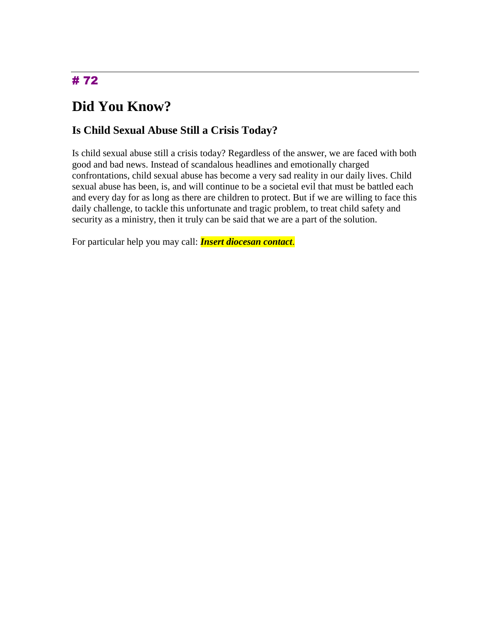# **Did You Know?**

### **Is Child Sexual Abuse Still a Crisis Today?**

Is child sexual abuse still a crisis today? Regardless of the answer, we are faced with both good and bad news. Instead of scandalous headlines and emotionally charged confrontations, child sexual abuse has become a very sad reality in our daily lives. Child sexual abuse has been, is, and will continue to be a societal evil that must be battled each and every day for as long as there are children to protect. But if we are willing to face this daily challenge, to tackle this unfortunate and tragic problem, to treat child safety and security as a ministry, then it truly can be said that we are a part of the solution.

For particular help you may call: *Insert diocesan contact*.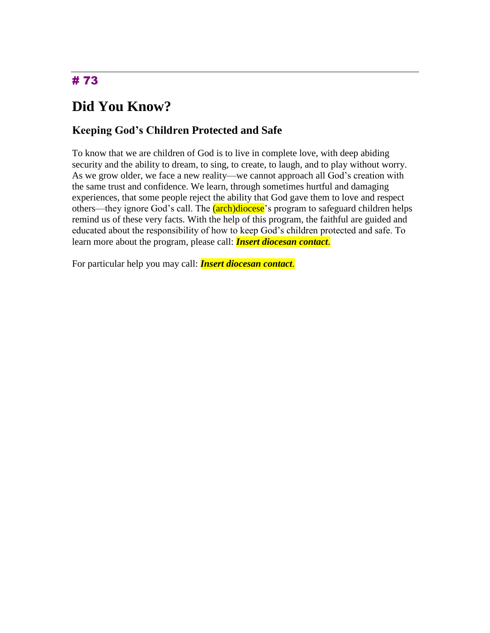## **Did You Know?**

#### **Keeping God's Children Protected and Safe**

To know that we are children of God is to live in complete love, with deep abiding security and the ability to dream, to sing, to create, to laugh, and to play without worry. As we grow older, we face a new reality—we cannot approach all God's creation with the same trust and confidence. We learn, through sometimes hurtful and damaging experiences, that some people reject the ability that God gave them to love and respect others—they ignore God's call. The (arch)diocese's program to safeguard children helps remind us of these very facts. With the help of this program, the faithful are guided and educated about the responsibility of how to keep God's children protected and safe. To learn more about the program, please call: *Insert diocesan contact*.

For particular help you may call: *Insert diocesan contact*.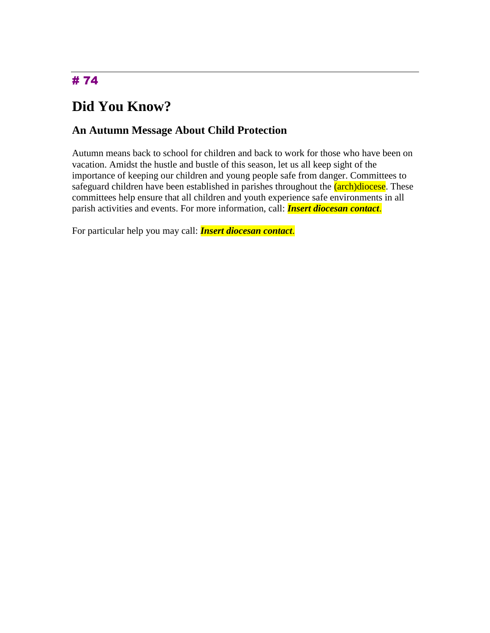# **Did You Know?**

#### **An Autumn Message About Child Protection**

Autumn means back to school for children and back to work for those who have been on vacation. Amidst the hustle and bustle of this season, let us all keep sight of the importance of keeping our children and young people safe from danger. Committees to safeguard children have been established in parishes throughout the  $(\text{arch})$ diocese. These committees help ensure that all children and youth experience safe environments in all parish activities and events. For more information, call: *Insert diocesan contact*.

For particular help you may call: *Insert diocesan contact*.